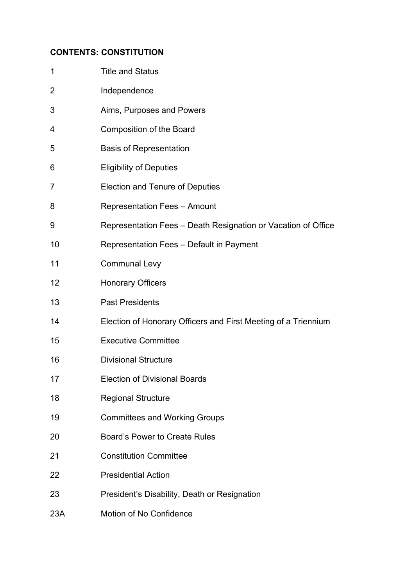## **CONTENTS: CONSTITUTION**

| $\mathbf 1$    | <b>Title and Status</b>                                        |
|----------------|----------------------------------------------------------------|
| $\overline{2}$ | Independence                                                   |
| 3              | Aims, Purposes and Powers                                      |
| 4              | <b>Composition of the Board</b>                                |
| 5              | <b>Basis of Representation</b>                                 |
| 6              | <b>Eligibility of Deputies</b>                                 |
| 7              | <b>Election and Tenure of Deputies</b>                         |
| 8              | <b>Representation Fees - Amount</b>                            |
| 9              | Representation Fees – Death Resignation or Vacation of Office  |
| 10             | Representation Fees - Default in Payment                       |
| 11             | <b>Communal Levy</b>                                           |
| 12             | <b>Honorary Officers</b>                                       |
| 13             | <b>Past Presidents</b>                                         |
| 14             | Election of Honorary Officers and First Meeting of a Triennium |
| 15             | <b>Executive Committee</b>                                     |
| 16             | <b>Divisional Structure</b>                                    |
| 17             | <b>Election of Divisional Boards</b>                           |
| 18             | <b>Regional Structure</b>                                      |
| 19             | <b>Committees and Working Groups</b>                           |
| 20             | Board's Power to Create Rules                                  |
| 21             | <b>Constitution Committee</b>                                  |
| 22             | <b>Presidential Action</b>                                     |
| 23             | President's Disability, Death or Resignation                   |
| 23A            | Motion of No Confidence                                        |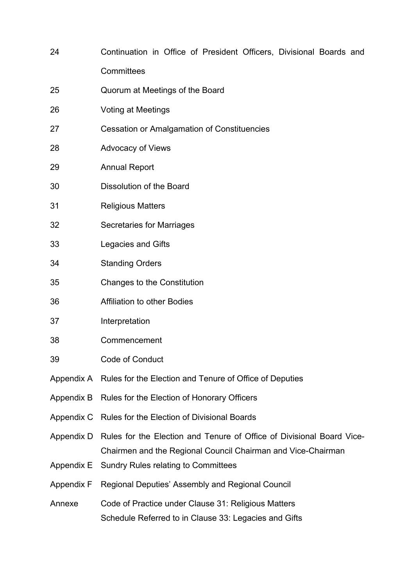| 24                | Continuation in Office of President Officers, Divisional Boards and                                        |
|-------------------|------------------------------------------------------------------------------------------------------------|
|                   | Committees                                                                                                 |
| 25                | Quorum at Meetings of the Board                                                                            |
| 26                | <b>Voting at Meetings</b>                                                                                  |
| 27                | <b>Cessation or Amalgamation of Constituencies</b>                                                         |
| 28                | <b>Advocacy of Views</b>                                                                                   |
| 29                | <b>Annual Report</b>                                                                                       |
| 30                | <b>Dissolution of the Board</b>                                                                            |
| 31                | <b>Religious Matters</b>                                                                                   |
| 32                | <b>Secretaries for Marriages</b>                                                                           |
| 33                | <b>Legacies and Gifts</b>                                                                                  |
| 34                | <b>Standing Orders</b>                                                                                     |
| 35                | <b>Changes to the Constitution</b>                                                                         |
| 36                | <b>Affiliation to other Bodies</b>                                                                         |
| 37                | Interpretation                                                                                             |
| 38                | Commencement                                                                                               |
| 39                | <b>Code of Conduct</b>                                                                                     |
| Appendix A        | Rules for the Election and Tenure of Office of Deputies                                                    |
| Appendix B        | Rules for the Election of Honorary Officers                                                                |
| Appendix C        | Rules for the Election of Divisional Boards                                                                |
| Appendix D        | Rules for the Election and Tenure of Office of Divisional Board Vice-                                      |
| Appendix E        | Chairmen and the Regional Council Chairman and Vice-Chairman<br><b>Sundry Rules relating to Committees</b> |
| <b>Appendix F</b> | Regional Deputies' Assembly and Regional Council                                                           |
| Annexe            | Code of Practice under Clause 31: Religious Matters                                                        |
|                   | Schedule Referred to in Clause 33: Legacies and Gifts                                                      |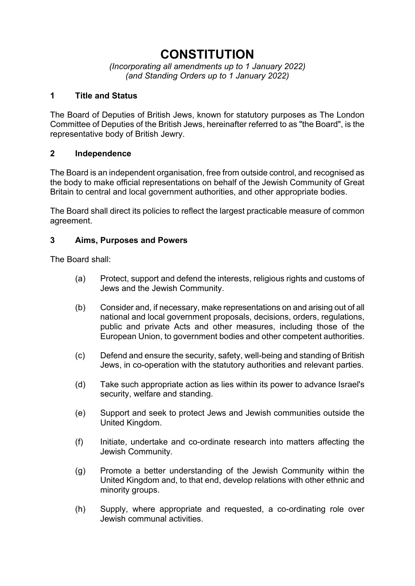# **CONSTITUTION**

*(Incorporating all amendments up to 1 January 2022) (and Standing Orders up to 1 January 2022)* 

#### **1 Title and Status**

The Board of Deputies of British Jews, known for statutory purposes as The London Committee of Deputies of the British Jews, hereinafter referred to as "the Board", is the representative body of British Jewry.

#### **2 Independence**

The Board is an independent organisation, free from outside control, and recognised as the body to make official representations on behalf of the Jewish Community of Great Britain to central and local government authorities, and other appropriate bodies.

The Board shall direct its policies to reflect the largest practicable measure of common agreement.

#### **3 Aims, Purposes and Powers**

The Board shall:

- (a) Protect, support and defend the interests, religious rights and customs of Jews and the Jewish Community.
- (b) Consider and, if necessary, make representations on and arising out of all national and local government proposals, decisions, orders, regulations, public and private Acts and other measures, including those of the European Union, to government bodies and other competent authorities.
- (c) Defend and ensure the security, safety, well-being and standing of British Jews, in co-operation with the statutory authorities and relevant parties.
- (d) Take such appropriate action as lies within its power to advance Israel's security, welfare and standing.
- (e) Support and seek to protect Jews and Jewish communities outside the United Kingdom.
- (f) Initiate, undertake and co-ordinate research into matters affecting the Jewish Community.
- (g) Promote a better understanding of the Jewish Community within the United Kingdom and, to that end, develop relations with other ethnic and minority groups.
- (h) Supply, where appropriate and requested, a co-ordinating role over Jewish communal activities.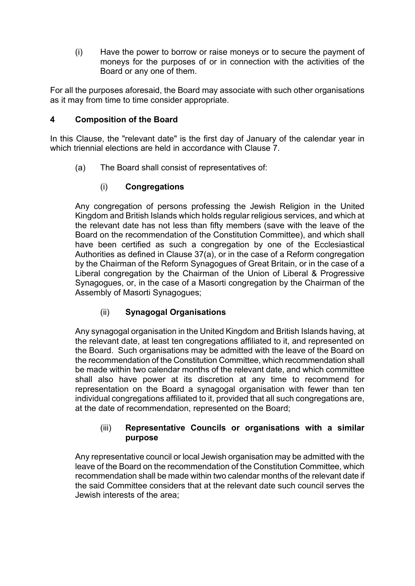(i) Have the power to borrow or raise moneys or to secure the payment of moneys for the purposes of or in connection with the activities of the Board or any one of them.

For all the purposes aforesaid, the Board may associate with such other organisations as it may from time to time consider appropriate.

## **4 Composition of the Board**

In this Clause, the "relevant date" is the first day of January of the calendar year in which triennial elections are held in accordance with Clause 7.

(a) The Board shall consist of representatives of:

# (i) **Congregations**

Any congregation of persons professing the Jewish Religion in the United Kingdom and British Islands which holds regular religious services, and which at the relevant date has not less than fifty members (save with the leave of the Board on the recommendation of the Constitution Committee), and which shall have been certified as such a congregation by one of the Ecclesiastical Authorities as defined in Clause 37(a), or in the case of a Reform congregation by the Chairman of the Reform Synagogues of Great Britain, or in the case of a Liberal congregation by the Chairman of the Union of Liberal & Progressive Synagogues, or, in the case of a Masorti congregation by the Chairman of the Assembly of Masorti Synagogues;

# (ii) **Synagogal Organisations**

Any synagogal organisation in the United Kingdom and British Islands having, at the relevant date, at least ten congregations affiliated to it, and represented on the Board. Such organisations may be admitted with the leave of the Board on the recommendation of the Constitution Committee, which recommendation shall be made within two calendar months of the relevant date, and which committee shall also have power at its discretion at any time to recommend for representation on the Board a synagogal organisation with fewer than ten individual congregations affiliated to it, provided that all such congregations are, at the date of recommendation, represented on the Board;

#### (iii) **Representative Councils or organisations with a similar purpose**

Any representative council or local Jewish organisation may be admitted with the leave of the Board on the recommendation of the Constitution Committee, which recommendation shall be made within two calendar months of the relevant date if the said Committee considers that at the relevant date such council serves the Jewish interests of the area;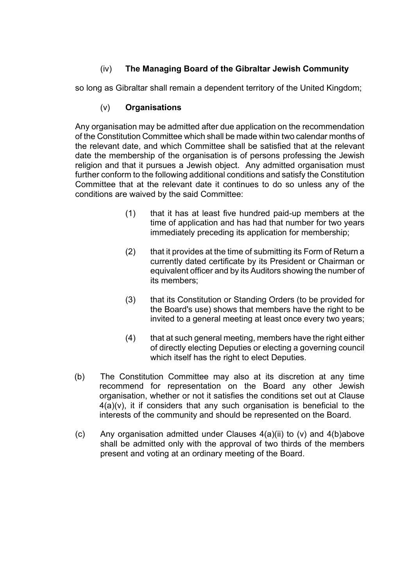# (iv) **The Managing Board of the Gibraltar Jewish Community**

so long as Gibraltar shall remain a dependent territory of the United Kingdom;

## (v) **Organisations**

Any organisation may be admitted after due application on the recommendation of the Constitution Committee which shall be made within two calendar months of the relevant date, and which Committee shall be satisfied that at the relevant date the membership of the organisation is of persons professing the Jewish religion and that it pursues a Jewish object. Any admitted organisation must further conform to the following additional conditions and satisfy the Constitution Committee that at the relevant date it continues to do so unless any of the conditions are waived by the said Committee:

- (1) that it has at least five hundred paid-up members at the time of application and has had that number for two years immediately preceding its application for membership;
- (2) that it provides at the time of submitting its Form of Return a currently dated certificate by its President or Chairman or equivalent officer and by its Auditors showing the number of its members;
- (3) that its Constitution or Standing Orders (to be provided for the Board's use) shows that members have the right to be invited to a general meeting at least once every two years;
- (4) that at such general meeting, members have the right either of directly electing Deputies or electing a governing council which itself has the right to elect Deputies.
- (b) The Constitution Committee may also at its discretion at any time recommend for representation on the Board any other Jewish organisation, whether or not it satisfies the conditions set out at Clause  $4(a)(v)$ , it if considers that any such organisation is beneficial to the interests of the community and should be represented on the Board.
- (c) Any organisation admitted under Clauses 4(a)(ii) to (v) and 4(b)above shall be admitted only with the approval of two thirds of the members present and voting at an ordinary meeting of the Board.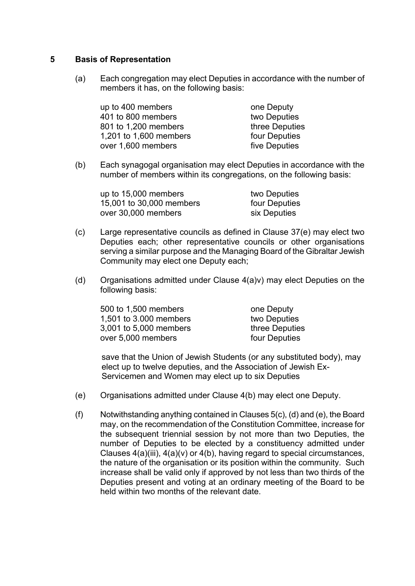#### **5 Basis of Representation**

(a) Each congregation may elect Deputies in accordance with the number of members it has, on the following basis:

| one Deputy     |
|----------------|
| two Deputies   |
| three Deputies |
| four Deputies  |
| five Deputies  |
|                |

(b) Each synagogal organisation may elect Deputies in accordance with the number of members within its congregations, on the following basis:

| up to 15,000 members     | two Deputies  |
|--------------------------|---------------|
| 15,001 to 30,000 members | four Deputies |
| over 30,000 members      | six Deputies  |

- (c) Large representative councils as defined in Clause 37(e) may elect two Deputies each; other representative councils or other organisations serving a similar purpose and the Managing Board of the Gibraltar Jewish Community may elect one Deputy each;
- (d) Organisations admitted under Clause 4(a)v) may elect Deputies on the following basis:

| 500 to 1,500 members   | one Deputy     |
|------------------------|----------------|
| 1,501 to 3,000 members | two Deputies   |
| 3,001 to 5,000 members | three Deputies |
| over 5,000 members     | four Deputies  |
|                        |                |

 save that the Union of Jewish Students (or any substituted body), may elect up to twelve deputies, and the Association of Jewish Ex- Servicemen and Women may elect up to six Deputies

- (e) Organisations admitted under Clause 4(b) may elect one Deputy.
- (f) Notwithstanding anything contained in Clauses 5(c), (d) and (e), the Board may, on the recommendation of the Constitution Committee, increase for the subsequent triennial session by not more than two Deputies, the number of Deputies to be elected by a constituency admitted under Clauses  $4(a)(iii)$ ,  $4(a)(v)$  or  $4(b)$ , having regard to special circumstances, the nature of the organisation or its position within the community. Such increase shall be valid only if approved by not less than two thirds of the Deputies present and voting at an ordinary meeting of the Board to be held within two months of the relevant date.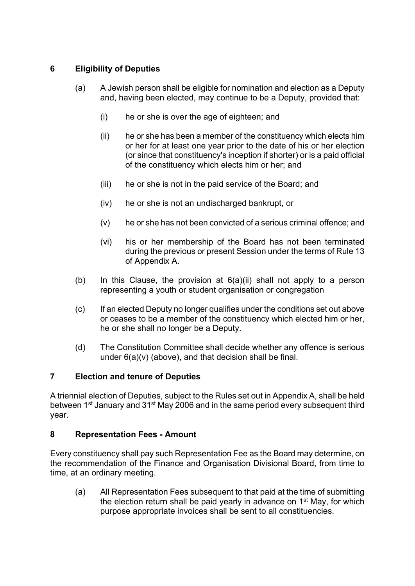# **6 Eligibility of Deputies**

- (a) A Jewish person shall be eligible for nomination and election as a Deputy and, having been elected, may continue to be a Deputy, provided that:
	- (i) he or she is over the age of eighteen; and
	- (ii) he or she has been a member of the constituency which elects him or her for at least one year prior to the date of his or her election (or since that constituency's inception if shorter) or is a paid official of the constituency which elects him or her; and
	- (iii) he or she is not in the paid service of the Board; and
	- (iv) he or she is not an undischarged bankrupt, or
	- (v) he or she has not been convicted of a serious criminal offence; and
	- (vi) his or her membership of the Board has not been terminated during the previous or present Session under the terms of Rule 13 of Appendix A.
- (b) In this Clause, the provision at  $6(a)(ii)$  shall not apply to a person representing a youth or student organisation or congregation
- (c) If an elected Deputy no longer qualifies under the conditions set out above or ceases to be a member of the constituency which elected him or her, he or she shall no longer be a Deputy.
- (d) The Constitution Committee shall decide whether any offence is serious under 6(a)(v) (above), and that decision shall be final.

## **7 Election and tenure of Deputies**

A triennial election of Deputies, subject to the Rules set out in Appendix A, shall be held between 1<sup>st</sup> January and 31<sup>st</sup> May 2006 and in the same period every subsequent third year.

## **8 Representation Fees - Amount**

Every constituency shall pay such Representation Fee as the Board may determine, on the recommendation of the Finance and Organisation Divisional Board, from time to time, at an ordinary meeting.

(a) All Representation Fees subsequent to that paid at the time of submitting the election return shall be paid yearly in advance on  $1<sup>st</sup>$  May, for which purpose appropriate invoices shall be sent to all constituencies.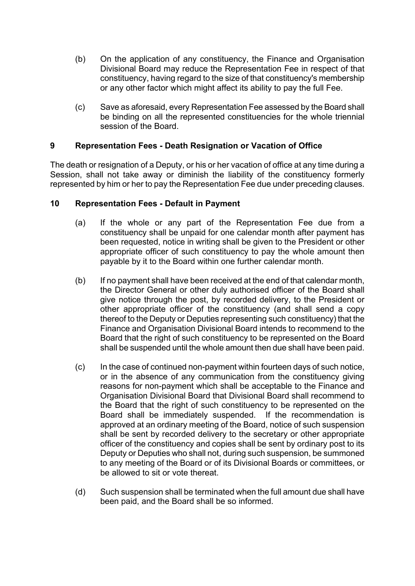- (b) On the application of any constituency, the Finance and Organisation Divisional Board may reduce the Representation Fee in respect of that constituency, having regard to the size of that constituency's membership or any other factor which might affect its ability to pay the full Fee.
- (c) Save as aforesaid, every Representation Fee assessed by the Board shall be binding on all the represented constituencies for the whole triennial session of the Board.

#### **9 Representation Fees - Death Resignation or Vacation of Office**

The death or resignation of a Deputy, or his or her vacation of office at any time during a Session, shall not take away or diminish the liability of the constituency formerly represented by him or her to pay the Representation Fee due under preceding clauses.

#### **10 Representation Fees - Default in Payment**

- (a) If the whole or any part of the Representation Fee due from a constituency shall be unpaid for one calendar month after payment has been requested, notice in writing shall be given to the President or other appropriate officer of such constituency to pay the whole amount then payable by it to the Board within one further calendar month.
- (b) If no payment shall have been received at the end of that calendar month, the Director General or other duly authorised officer of the Board shall give notice through the post, by recorded delivery, to the President or other appropriate officer of the constituency (and shall send a copy thereof to the Deputy or Deputies representing such constituency) that the Finance and Organisation Divisional Board intends to recommend to the Board that the right of such constituency to be represented on the Board shall be suspended until the whole amount then due shall have been paid.
- (c) In the case of continued non-payment within fourteen days of such notice, or in the absence of any communication from the constituency giving reasons for non-payment which shall be acceptable to the Finance and Organisation Divisional Board that Divisional Board shall recommend to the Board that the right of such constituency to be represented on the Board shall be immediately suspended. If the recommendation is approved at an ordinary meeting of the Board, notice of such suspension shall be sent by recorded delivery to the secretary or other appropriate officer of the constituency and copies shall be sent by ordinary post to its Deputy or Deputies who shall not, during such suspension, be summoned to any meeting of the Board or of its Divisional Boards or committees, or be allowed to sit or vote thereat.
- (d) Such suspension shall be terminated when the full amount due shall have been paid, and the Board shall be so informed.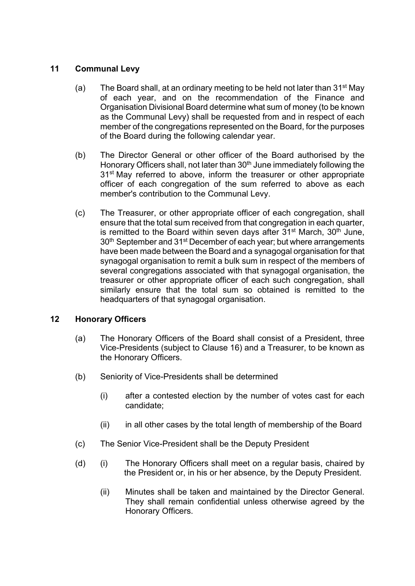#### **11 Communal Levy**

- (a) The Board shall, at an ordinary meeting to be held not later than  $31^{st}$  May of each year, and on the recommendation of the Finance and Organisation Divisional Board determine what sum of money (to be known as the Communal Levy) shall be requested from and in respect of each member of the congregations represented on the Board, for the purposes of the Board during the following calendar year.
- (b) The Director General or other officer of the Board authorised by the Honorary Officers shall, not later than 30<sup>th</sup> June immediately following the 31<sup>st</sup> May referred to above, inform the treasurer or other appropriate officer of each congregation of the sum referred to above as each member's contribution to the Communal Levy.
- (c) The Treasurer, or other appropriate officer of each congregation, shall ensure that the total sum received from that congregation in each quarter, is remitted to the Board within seven days after  $31<sup>st</sup>$  March,  $30<sup>th</sup>$  June, 30<sup>th</sup> September and 31<sup>st</sup> December of each year; but where arrangements have been made between the Board and a synagogal organisation for that synagogal organisation to remit a bulk sum in respect of the members of several congregations associated with that synagogal organisation, the treasurer or other appropriate officer of each such congregation, shall similarly ensure that the total sum so obtained is remitted to the headquarters of that synagogal organisation.

## **12 Honorary Officers**

- (a) The Honorary Officers of the Board shall consist of a President, three Vice-Presidents (subject to Clause 16) and a Treasurer, to be known as the Honorary Officers.
- (b) Seniority of Vice-Presidents shall be determined
	- (i) after a contested election by the number of votes cast for each candidate;
	- (ii) in all other cases by the total length of membership of the Board
- (c) The Senior Vice-President shall be the Deputy President
- (d) (i) The Honorary Officers shall meet on a regular basis, chaired by the President or, in his or her absence, by the Deputy President.
	- (ii) Minutes shall be taken and maintained by the Director General. They shall remain confidential unless otherwise agreed by the Honorary Officers.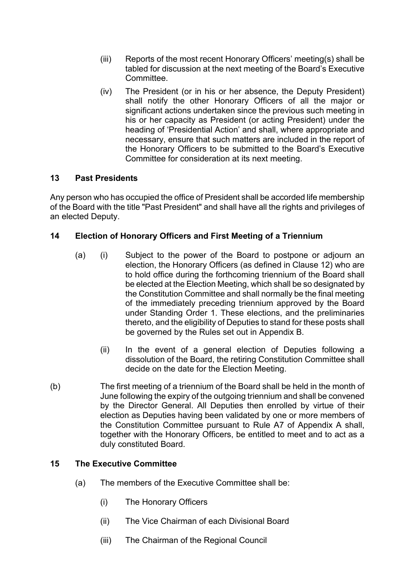- (iii) Reports of the most recent Honorary Officers' meeting(s) shall be tabled for discussion at the next meeting of the Board's Executive Committee.
- (iv) The President (or in his or her absence, the Deputy President) shall notify the other Honorary Officers of all the major or significant actions undertaken since the previous such meeting in his or her capacity as President (or acting President) under the heading of 'Presidential Action' and shall, where appropriate and necessary, ensure that such matters are included in the report of the Honorary Officers to be submitted to the Board's Executive Committee for consideration at its next meeting.

#### **13 Past Presidents**

Any person who has occupied the office of President shall be accorded life membership of the Board with the title "Past President" and shall have all the rights and privileges of an elected Deputy.

#### **14 Election of Honorary Officers and First Meeting of a Triennium**

- (a) (i) Subject to the power of the Board to postpone or adjourn an election, the Honorary Officers (as defined in Clause 12) who are to hold office during the forthcoming triennium of the Board shall be elected at the Election Meeting, which shall be so designated by the Constitution Committee and shall normally be the final meeting of the immediately preceding triennium approved by the Board under Standing Order 1. These elections, and the preliminaries thereto, and the eligibility of Deputies to stand for these posts shall be governed by the Rules set out in Appendix B.
	- (ii) In the event of a general election of Deputies following a dissolution of the Board, the retiring Constitution Committee shall decide on the date for the Election Meeting.
- (b) The first meeting of a triennium of the Board shall be held in the month of June following the expiry of the outgoing triennium and shall be convened by the Director General. All Deputies then enrolled by virtue of their election as Deputies having been validated by one or more members of the Constitution Committee pursuant to Rule A7 of Appendix A shall, together with the Honorary Officers, be entitled to meet and to act as a duly constituted Board.

#### **15 The Executive Committee**

- (a) The members of the Executive Committee shall be:
	- (i) The Honorary Officers
	- (ii) The Vice Chairman of each Divisional Board
	- (iii) The Chairman of the Regional Council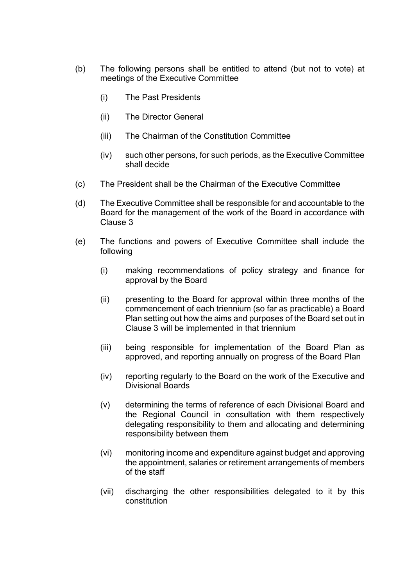- (b) The following persons shall be entitled to attend (but not to vote) at meetings of the Executive Committee
	- (i) The Past Presidents
	- (ii) The Director General
	- (iii) The Chairman of the Constitution Committee
	- (iv) such other persons, for such periods, as the Executive Committee shall decide
- (c) The President shall be the Chairman of the Executive Committee
- (d) The Executive Committee shall be responsible for and accountable to the Board for the management of the work of the Board in accordance with Clause 3
- (e) The functions and powers of Executive Committee shall include the following
	- (i) making recommendations of policy strategy and finance for approval by the Board
	- (ii) presenting to the Board for approval within three months of the commencement of each triennium (so far as practicable) a Board Plan setting out how the aims and purposes of the Board set out in Clause 3 will be implemented in that triennium
	- (iii) being responsible for implementation of the Board Plan as approved, and reporting annually on progress of the Board Plan
	- (iv) reporting regularly to the Board on the work of the Executive and Divisional Boards
	- (v) determining the terms of reference of each Divisional Board and the Regional Council in consultation with them respectively delegating responsibility to them and allocating and determining responsibility between them
	- (vi) monitoring income and expenditure against budget and approving the appointment, salaries or retirement arrangements of members of the staff
	- (vii) discharging the other responsibilities delegated to it by this constitution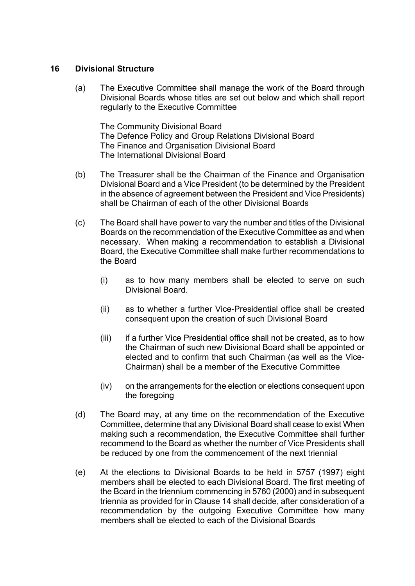#### **16 Divisional Structure**

(a) The Executive Committee shall manage the work of the Board through Divisional Boards whose titles are set out below and which shall report regularly to the Executive Committee

The Community Divisional Board The Defence Policy and Group Relations Divisional Board The Finance and Organisation Divisional Board The International Divisional Board

- (b) The Treasurer shall be the Chairman of the Finance and Organisation Divisional Board and a Vice President (to be determined by the President in the absence of agreement between the President and Vice Presidents) shall be Chairman of each of the other Divisional Boards
- (c) The Board shall have power to vary the number and titles of the Divisional Boards on the recommendation of the Executive Committee as and when necessary. When making a recommendation to establish a Divisional Board, the Executive Committee shall make further recommendations to the Board
	- (i) as to how many members shall be elected to serve on such Divisional Board.
	- (ii) as to whether a further Vice-Presidential office shall be created consequent upon the creation of such Divisional Board
	- (iii) if a further Vice Presidential office shall not be created, as to how the Chairman of such new Divisional Board shall be appointed or elected and to confirm that such Chairman (as well as the Vice-Chairman) shall be a member of the Executive Committee
	- (iv) on the arrangements for the election or elections consequent upon the foregoing
- (d) The Board may, at any time on the recommendation of the Executive Committee, determine that any Divisional Board shall cease to exist When making such a recommendation, the Executive Committee shall further recommend to the Board as whether the number of Vice Presidents shall be reduced by one from the commencement of the next triennial
- (e) At the elections to Divisional Boards to be held in 5757 (1997) eight members shall be elected to each Divisional Board. The first meeting of the Board in the triennium commencing in 5760 (2000) and in subsequent triennia as provided for in Clause 14 shall decide, after consideration of a recommendation by the outgoing Executive Committee how many members shall be elected to each of the Divisional Boards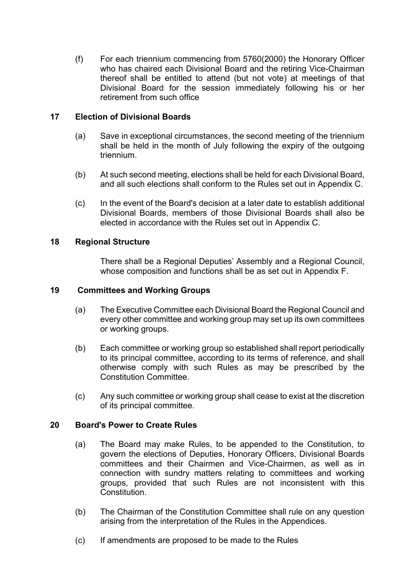(f) For each triennium commencing from 5760(2000) the Honorary Officer who has chaired each Divisional Board and the retiring Vice-Chairman thereof shall be entitled to attend (but not vote) at meetings of that Divisional Board for the session immediately following his or her retirement from such office

#### **17 Election of Divisional Boards**

- (a) Save in exceptional circumstances, the second meeting of the triennium shall be held in the month of July following the expiry of the outgoing triennium.
- (b) At such second meeting, elections shall be held for each Divisional Board, and all such elections shall conform to the Rules set out in Appendix C.
- (c) In the event of the Board's decision at a later date to establish additional Divisional Boards, members of those Divisional Boards shall also be elected in accordance with the Rules set out in Appendix C.

#### **18 Regional Structure**

There shall be a Regional Deputies' Assembly and a Regional Council, whose composition and functions shall be as set out in Appendix F.

#### **19 Committees and Working Groups**

- (a) The Executive Committee each Divisional Board the Regional Council and every other committee and working group may set up its own committees or working groups.
- (b) Each committee or working group so established shall report periodically to its principal committee, according to its terms of reference, and shall otherwise comply with such Rules as may be prescribed by the Constitution Committee.
- (c) Any such committee or working group shall cease to exist at the discretion of its principal committee.

#### **20 Board's Power to Create Rules**

- (a) The Board may make Rules, to be appended to the Constitution, to govern the elections of Deputies, Honorary Officers, Divisional Boards committees and their Chairmen and Vice-Chairmen, as well as in connection with sundry matters relating to committees and working groups, provided that such Rules are not inconsistent with this **Constitution**
- (b) The Chairman of the Constitution Committee shall rule on any question arising from the interpretation of the Rules in the Appendices.
- (c) If amendments are proposed to be made to the Rules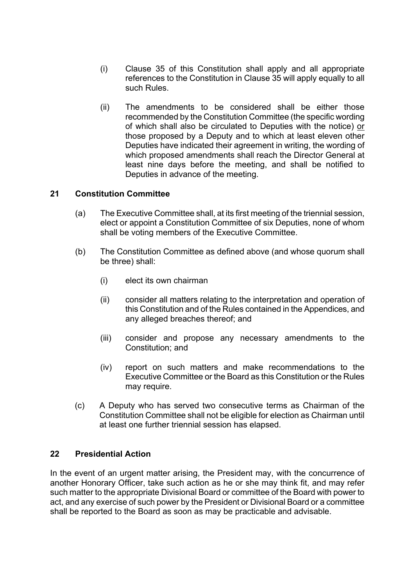- (i) Clause 35 of this Constitution shall apply and all appropriate references to the Constitution in Clause 35 will apply equally to all such Rules.
- (ii) The amendments to be considered shall be either those recommended by the Constitution Committee (the specific wording of which shall also be circulated to Deputies with the notice) or those proposed by a Deputy and to which at least eleven other Deputies have indicated their agreement in writing, the wording of which proposed amendments shall reach the Director General at least nine days before the meeting, and shall be notified to Deputies in advance of the meeting.

#### **21 Constitution Committee**

- (a) The Executive Committee shall, at its first meeting of the triennial session, elect or appoint a Constitution Committee of six Deputies, none of whom shall be voting members of the Executive Committee.
- (b) The Constitution Committee as defined above (and whose quorum shall be three) shall:
	- (i) elect its own chairman
	- (ii) consider all matters relating to the interpretation and operation of this Constitution and of the Rules contained in the Appendices, and any alleged breaches thereof; and
	- (iii) consider and propose any necessary amendments to the Constitution; and
	- (iv) report on such matters and make recommendations to the Executive Committee or the Board as this Constitution or the Rules may require.
- (c) A Deputy who has served two consecutive terms as Chairman of the Constitution Committee shall not be eligible for election as Chairman until at least one further triennial session has elapsed.

#### **22 Presidential Action**

In the event of an urgent matter arising, the President may, with the concurrence of another Honorary Officer, take such action as he or she may think fit, and may refer such matter to the appropriate Divisional Board or committee of the Board with power to act, and any exercise of such power by the President or Divisional Board or a committee shall be reported to the Board as soon as may be practicable and advisable.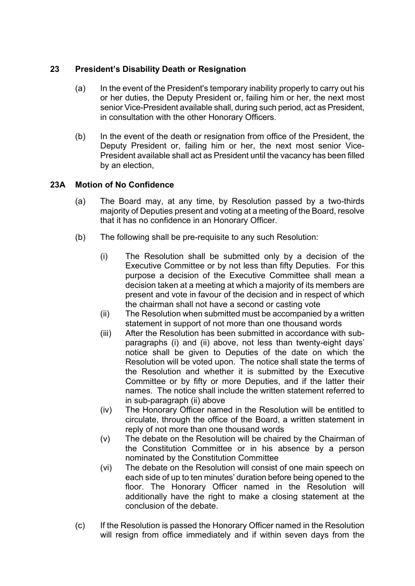## **23 President's Disability Death or Resignation**

- (a) In the event of the President's temporary inability properly to carry out his or her duties, the Deputy President or, failing him or her, the next most senior Vice-President available shall, during such period, act as President, in consultation with the other Honorary Officers.
- (b) In the event of the death or resignation from office of the President, the Deputy President or, failing him or her, the next most senior Vice-President available shall act as President until the vacancy has been filled by an election,

## **23A Motion of No Confidence**

- (a) The Board may, at any time, by Resolution passed by a two-thirds majority of Deputies present and voting at a meeting of the Board, resolve that it has no confidence in an Honorary Officer.
- (b) The following shall be pre-requisite to any such Resolution:
	- (i) The Resolution shall be submitted only by a decision of the Executive Committee or by not less than fifty Deputies. For this purpose a decision of the Executive Committee shall mean a decision taken at a meeting at which a majority of its members are present and vote in favour of the decision and in respect of which the chairman shall not have a second or casting vote
	- (ii) The Resolution when submitted must be accompanied by a written statement in support of not more than one thousand words
	- (iii) After the Resolution has been submitted in accordance with subparagraphs (i) and (ii) above, not less than twenty-eight days' notice shall be given to Deputies of the date on which the Resolution will be voted upon. The notice shall state the terms of the Resolution and whether it is submitted by the Executive Committee or by fifty or more Deputies, and if the latter their names. The notice shall include the written statement referred to in sub-paragraph (ii) above
	- (iv) The Honorary Officer named in the Resolution will be entitled to circulate, through the office of the Board, a written statement in reply of not more than one thousand words
	- (v) The debate on the Resolution will be chaired by the Chairman of the Constitution Committee or in his absence by a person nominated by the Constitution Committee
	- (vi) The debate on the Resolution will consist of one main speech on each side of up to ten minutes' duration before being opened to the floor. The Honorary Officer named in the Resolution will additionally have the right to make a closing statement at the conclusion of the debate.
- (c) If the Resolution is passed the Honorary Officer named in the Resolution will resign from office immediately and if within seven days from the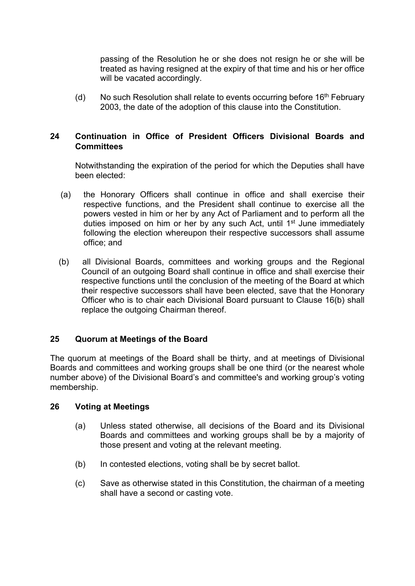passing of the Resolution he or she does not resign he or she will be treated as having resigned at the expiry of that time and his or her office will be vacated accordingly.

(d) No such Resolution shall relate to events occurring before  $16<sup>th</sup>$  February 2003, the date of the adoption of this clause into the Constitution.

#### **24 Continuation in Office of President Officers Divisional Boards and Committees**

Notwithstanding the expiration of the period for which the Deputies shall have been elected:

- (a) the Honorary Officers shall continue in office and shall exercise their respective functions, and the President shall continue to exercise all the powers vested in him or her by any Act of Parliament and to perform all the duties imposed on him or her by any such Act, until 1<sup>st</sup> June immediately following the election whereupon their respective successors shall assume office; and
- (b) all Divisional Boards, committees and working groups and the Regional Council of an outgoing Board shall continue in office and shall exercise their respective functions until the conclusion of the meeting of the Board at which their respective successors shall have been elected, save that the Honorary Officer who is to chair each Divisional Board pursuant to Clause 16(b) shall replace the outgoing Chairman thereof.

## **25 Quorum at Meetings of the Board**

The quorum at meetings of the Board shall be thirty, and at meetings of Divisional Boards and committees and working groups shall be one third (or the nearest whole number above) of the Divisional Board's and committee's and working group's voting membership.

#### **26 Voting at Meetings**

- (a) Unless stated otherwise, all decisions of the Board and its Divisional Boards and committees and working groups shall be by a majority of those present and voting at the relevant meeting.
- (b) In contested elections, voting shall be by secret ballot.
- (c) Save as otherwise stated in this Constitution, the chairman of a meeting shall have a second or casting vote.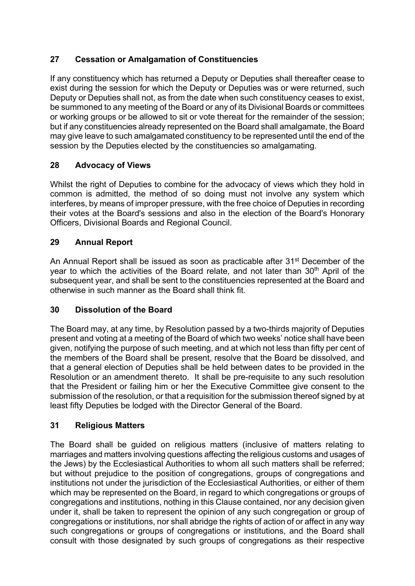# **27 Cessation or Amalgamation of Constituencies**

If any constituency which has returned a Deputy or Deputies shall thereafter cease to exist during the session for which the Deputy or Deputies was or were returned, such Deputy or Deputies shall not, as from the date when such constituency ceases to exist, be summoned to any meeting of the Board or any of its Divisional Boards or committees or working groups or be allowed to sit or vote thereat for the remainder of the session; but if any constituencies already represented on the Board shall amalgamate, the Board may give leave to such amalgamated constituency to be represented until the end of the session by the Deputies elected by the constituencies so amalgamating.

# **28 Advocacy of Views**

Whilst the right of Deputies to combine for the advocacy of views which they hold in common is admitted, the method of so doing must not involve any system which interferes, by means of improper pressure, with the free choice of Deputies in recording their votes at the Board's sessions and also in the election of the Board's Honorary Officers, Divisional Boards and Regional Council.

## **29 Annual Report**

An Annual Report shall be issued as soon as practicable after 31<sup>st</sup> December of the year to which the activities of the Board relate, and not later than 30th April of the subsequent year, and shall be sent to the constituencies represented at the Board and otherwise in such manner as the Board shall think fit.

## **30 Dissolution of the Board**

The Board may, at any time, by Resolution passed by a two-thirds majority of Deputies present and voting at a meeting of the Board of which two weeks' notice shall have been given, notifying the purpose of such meeting, and at which not less than fifty per cent of the members of the Board shall be present, resolve that the Board be dissolved, and that a general election of Deputies shall be held between dates to be provided in the Resolution or an amendment thereto. It shall be pre-requisite to any such resolution that the President or failing him or her the Executive Committee give consent to the submission of the resolution, or that a requisition for the submission thereof signed by at least fifty Deputies be lodged with the Director General of the Board.

## **31 Religious Matters**

The Board shall be guided on religious matters (inclusive of matters relating to marriages and matters involving questions affecting the religious customs and usages of the Jews) by the Ecclesiastical Authorities to whom all such matters shall be referred; but without prejudice to the position of congregations, groups of congregations and institutions not under the jurisdiction of the Ecclesiastical Authorities, or either of them which may be represented on the Board, in regard to which congregations or groups of congregations and institutions, nothing in this Clause contained, nor any decision given under it, shall be taken to represent the opinion of any such congregation or group of congregations or institutions, nor shall abridge the rights of action of or affect in any way such congregations or groups of congregations or institutions, and the Board shall consult with those designated by such groups of congregations as their respective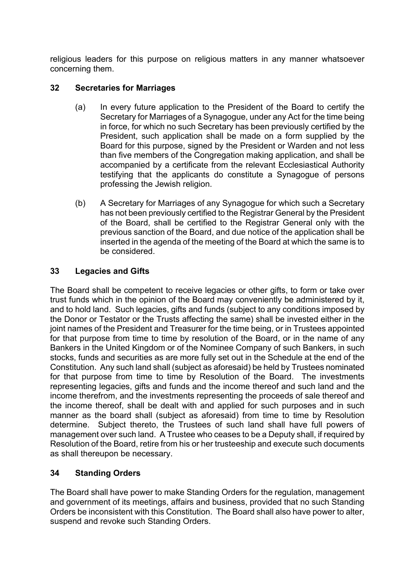religious leaders for this purpose on religious matters in any manner whatsoever concerning them.

## **32 Secretaries for Marriages**

- (a) In every future application to the President of the Board to certify the Secretary for Marriages of a Synagogue, under any Act for the time being in force, for which no such Secretary has been previously certified by the President, such application shall be made on a form supplied by the Board for this purpose, signed by the President or Warden and not less than five members of the Congregation making application, and shall be accompanied by a certificate from the relevant Ecclesiastical Authority testifying that the applicants do constitute a Synagogue of persons professing the Jewish religion.
- (b) A Secretary for Marriages of any Synagogue for which such a Secretary has not been previously certified to the Registrar General by the President of the Board, shall be certified to the Registrar General only with the previous sanction of the Board, and due notice of the application shall be inserted in the agenda of the meeting of the Board at which the same is to be considered.

# **33 Legacies and Gifts**

The Board shall be competent to receive legacies or other gifts, to form or take over trust funds which in the opinion of the Board may conveniently be administered by it, and to hold land. Such legacies, gifts and funds (subject to any conditions imposed by the Donor or Testator or the Trusts affecting the same) shall be invested either in the joint names of the President and Treasurer for the time being, or in Trustees appointed for that purpose from time to time by resolution of the Board, or in the name of any Bankers in the United Kingdom or of the Nominee Company of such Bankers, in such stocks, funds and securities as are more fully set out in the Schedule at the end of the Constitution. Any such land shall (subject as aforesaid) be held by Trustees nominated for that purpose from time to time by Resolution of the Board. The investments representing legacies, gifts and funds and the income thereof and such land and the income therefrom, and the investments representing the proceeds of sale thereof and the income thereof, shall be dealt with and applied for such purposes and in such manner as the board shall (subject as aforesaid) from time to time by Resolution determine. Subject thereto, the Trustees of such land shall have full powers of management over such land. A Trustee who ceases to be a Deputy shall, if required by Resolution of the Board, retire from his or her trusteeship and execute such documents as shall thereupon be necessary.

# **34 Standing Orders**

The Board shall have power to make Standing Orders for the regulation, management and government of its meetings, affairs and business, provided that no such Standing Orders be inconsistent with this Constitution. The Board shall also have power to alter, suspend and revoke such Standing Orders.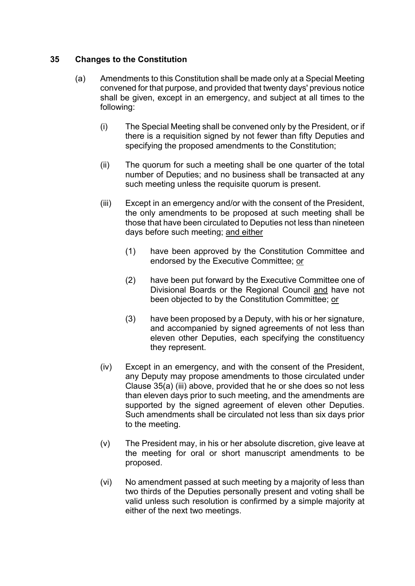#### **35 Changes to the Constitution**

- (a) Amendments to this Constitution shall be made only at a Special Meeting convened for that purpose, and provided that twenty days' previous notice shall be given, except in an emergency, and subject at all times to the following:
	- (i) The Special Meeting shall be convened only by the President, or if there is a requisition signed by not fewer than fifty Deputies and specifying the proposed amendments to the Constitution;
	- (ii) The quorum for such a meeting shall be one quarter of the total number of Deputies; and no business shall be transacted at any such meeting unless the requisite quorum is present.
	- (iii) Except in an emergency and/or with the consent of the President, the only amendments to be proposed at such meeting shall be those that have been circulated to Deputies not less than nineteen days before such meeting; and either
		- (1) have been approved by the Constitution Committee and endorsed by the Executive Committee; or
		- (2) have been put forward by the Executive Committee one of Divisional Boards or the Regional Council and have not been objected to by the Constitution Committee; or
		- (3) have been proposed by a Deputy, with his or her signature, and accompanied by signed agreements of not less than eleven other Deputies, each specifying the constituency they represent.
	- (iv) Except in an emergency, and with the consent of the President, any Deputy may propose amendments to those circulated under Clause 35(a) (iii) above, provided that he or she does so not less than eleven days prior to such meeting, and the amendments are supported by the signed agreement of eleven other Deputies. Such amendments shall be circulated not less than six days prior to the meeting.
	- (v) The President may, in his or her absolute discretion, give leave at the meeting for oral or short manuscript amendments to be proposed.
	- (vi) No amendment passed at such meeting by a majority of less than two thirds of the Deputies personally present and voting shall be valid unless such resolution is confirmed by a simple majority at either of the next two meetings.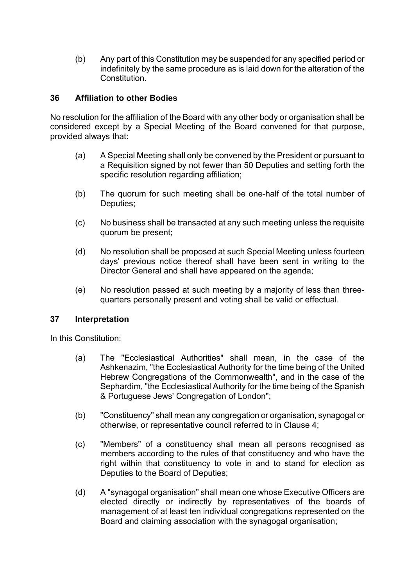(b) Any part of this Constitution may be suspended for any specified period or indefinitely by the same procedure as is laid down for the alteration of the **Constitution** 

#### **36 Affiliation to other Bodies**

No resolution for the affiliation of the Board with any other body or organisation shall be considered except by a Special Meeting of the Board convened for that purpose, provided always that:

- (a) A Special Meeting shall only be convened by the President or pursuant to a Requisition signed by not fewer than 50 Deputies and setting forth the specific resolution regarding affiliation;
- (b) The quorum for such meeting shall be one-half of the total number of Deputies;
- (c) No business shall be transacted at any such meeting unless the requisite quorum be present;
- (d) No resolution shall be proposed at such Special Meeting unless fourteen days' previous notice thereof shall have been sent in writing to the Director General and shall have appeared on the agenda;
- (e) No resolution passed at such meeting by a majority of less than threequarters personally present and voting shall be valid or effectual.

#### **37 Interpretation**

In this Constitution:

- (a) The "Ecclesiastical Authorities" shall mean, in the case of the Ashkenazim, "the Ecclesiastical Authority for the time being of the United Hebrew Congregations of the Commonwealth", and in the case of the Sephardim, "the Ecclesiastical Authority for the time being of the Spanish & Portuguese Jews' Congregation of London";
- (b) "Constituency" shall mean any congregation or organisation, synagogal or otherwise, or representative council referred to in Clause 4;
- (c) "Members" of a constituency shall mean all persons recognised as members according to the rules of that constituency and who have the right within that constituency to vote in and to stand for election as Deputies to the Board of Deputies;
- (d) A "synagogal organisation" shall mean one whose Executive Officers are elected directly or indirectly by representatives of the boards of management of at least ten individual congregations represented on the Board and claiming association with the synagogal organisation;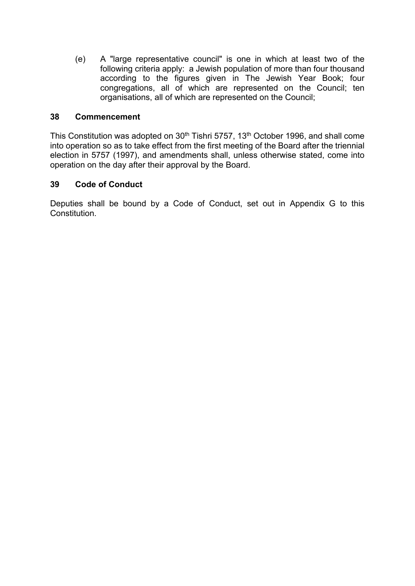(e) A "large representative council" is one in which at least two of the following criteria apply: a Jewish population of more than four thousand according to the figures given in The Jewish Year Book; four congregations, all of which are represented on the Council; ten organisations, all of which are represented on the Council;

#### **38 Commencement**

This Constitution was adopted on 30<sup>th</sup> Tishri 5757, 13<sup>th</sup> October 1996, and shall come into operation so as to take effect from the first meeting of the Board after the triennial election in 5757 (1997), and amendments shall, unless otherwise stated, come into operation on the day after their approval by the Board.

## **39 Code of Conduct**

Deputies shall be bound by a Code of Conduct, set out in Appendix G to this **Constitution**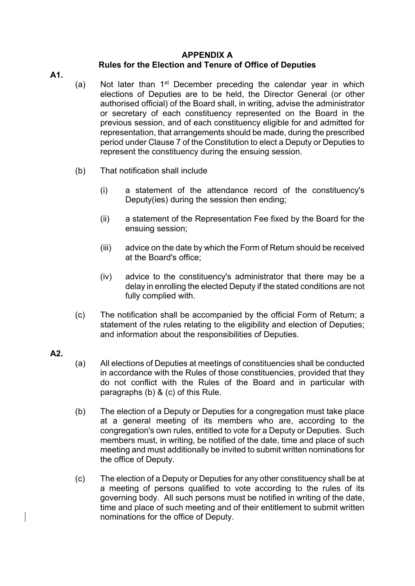#### **APPENDIX A**

# **Rules for the Election and Tenure of Office of Deputies**

**A1.**

- (a) Not later than  $1<sup>st</sup>$  December preceding the calendar year in which elections of Deputies are to be held, the Director General (or other authorised official) of the Board shall, in writing, advise the administrator or secretary of each constituency represented on the Board in the previous session, and of each constituency eligible for and admitted for representation, that arrangements should be made, during the prescribed period under Clause 7 of the Constitution to elect a Deputy or Deputies to represent the constituency during the ensuing session.
- (b) That notification shall include
	- (i) a statement of the attendance record of the constituency's Deputy(ies) during the session then ending;
	- (ii) a statement of the Representation Fee fixed by the Board for the ensuing session;
	- (iii) advice on the date by which the Form of Return should be received at the Board's office;
	- (iv) advice to the constituency's administrator that there may be a delay in enrolling the elected Deputy if the stated conditions are not fully complied with.
- (c) The notification shall be accompanied by the official Form of Return; a statement of the rules relating to the eligibility and election of Deputies; and information about the responsibilities of Deputies.

#### **A2.**

- (a) All elections of Deputies at meetings of constituencies shall be conducted in accordance with the Rules of those constituencies, provided that they do not conflict with the Rules of the Board and in particular with paragraphs (b) & (c) of this Rule.
- (b) The election of a Deputy or Deputies for a congregation must take place at a general meeting of its members who are, according to the congregation's own rules, entitled to vote for a Deputy or Deputies. Such members must, in writing, be notified of the date, time and place of such meeting and must additionally be invited to submit written nominations for the office of Deputy.
- (c) The election of a Deputy or Deputies for any other constituency shall be at a meeting of persons qualified to vote according to the rules of its governing body. All such persons must be notified in writing of the date, time and place of such meeting and of their entitlement to submit written nominations for the office of Deputy.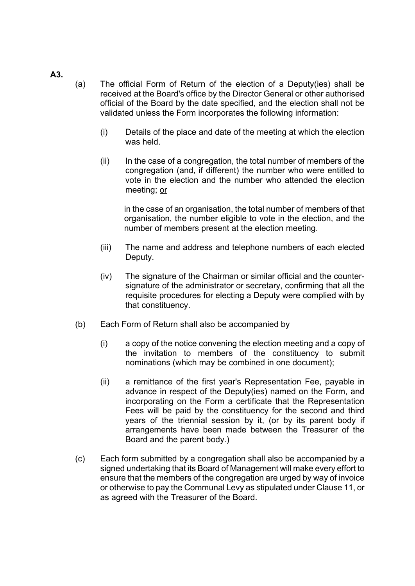#### **A3.**

- (a) The official Form of Return of the election of a Deputy(ies) shall be received at the Board's office by the Director General or other authorised official of the Board by the date specified, and the election shall not be validated unless the Form incorporates the following information:
	- (i) Details of the place and date of the meeting at which the election was held.
	- (ii) In the case of a congregation, the total number of members of the congregation (and, if different) the number who were entitled to vote in the election and the number who attended the election meeting; or

in the case of an organisation, the total number of members of that organisation, the number eligible to vote in the election, and the number of members present at the election meeting.

- (iii) The name and address and telephone numbers of each elected Deputy.
- (iv) The signature of the Chairman or similar official and the countersignature of the administrator or secretary, confirming that all the requisite procedures for electing a Deputy were complied with by that constituency.
- (b) Each Form of Return shall also be accompanied by
	- (i) a copy of the notice convening the election meeting and a copy of the invitation to members of the constituency to submit nominations (which may be combined in one document);
	- (ii) a remittance of the first year's Representation Fee, payable in advance in respect of the Deputy(ies) named on the Form, and incorporating on the Form a certificate that the Representation Fees will be paid by the constituency for the second and third years of the triennial session by it, (or by its parent body if arrangements have been made between the Treasurer of the Board and the parent body.)
- (c) Each form submitted by a congregation shall also be accompanied by a signed undertaking that its Board of Management will make every effort to ensure that the members of the congregation are urged by way of invoice or otherwise to pay the Communal Levy as stipulated under Clause 11, or as agreed with the Treasurer of the Board.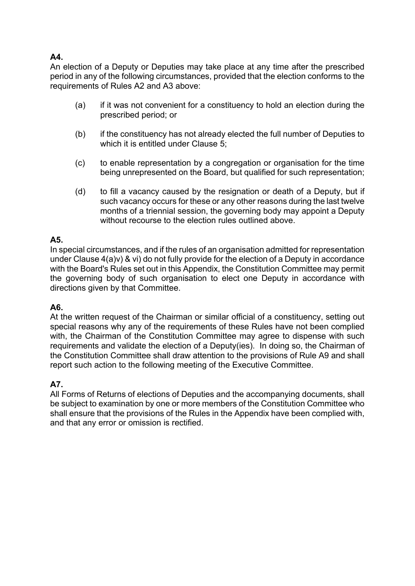## **A4.**

An election of a Deputy or Deputies may take place at any time after the prescribed period in any of the following circumstances, provided that the election conforms to the requirements of Rules A2 and A3 above:

- (a) if it was not convenient for a constituency to hold an election during the prescribed period; or
- (b) if the constituency has not already elected the full number of Deputies to which it is entitled under Clause 5;
- (c) to enable representation by a congregation or organisation for the time being unrepresented on the Board, but qualified for such representation;
- (d) to fill a vacancy caused by the resignation or death of a Deputy, but if such vacancy occurs for these or any other reasons during the last twelve months of a triennial session, the governing body may appoint a Deputy without recourse to the election rules outlined above.

# **A5.**

In special circumstances, and if the rules of an organisation admitted for representation under Clause 4(a)v) & vi) do not fully provide for the election of a Deputy in accordance with the Board's Rules set out in this Appendix, the Constitution Committee may permit the governing body of such organisation to elect one Deputy in accordance with directions given by that Committee.

## **A6.**

At the written request of the Chairman or similar official of a constituency, setting out special reasons why any of the requirements of these Rules have not been complied with, the Chairman of the Constitution Committee may agree to dispense with such requirements and validate the election of a Deputy(ies). In doing so, the Chairman of the Constitution Committee shall draw attention to the provisions of Rule A9 and shall report such action to the following meeting of the Executive Committee.

# **A7.**

All Forms of Returns of elections of Deputies and the accompanying documents, shall be subject to examination by one or more members of the Constitution Committee who shall ensure that the provisions of the Rules in the Appendix have been complied with, and that any error or omission is rectified.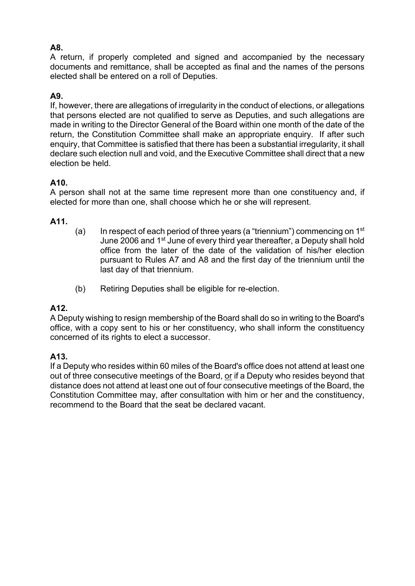# **A8.**

A return, if properly completed and signed and accompanied by the necessary documents and remittance, shall be accepted as final and the names of the persons elected shall be entered on a roll of Deputies.

# **A9.**

If, however, there are allegations of irregularity in the conduct of elections, or allegations that persons elected are not qualified to serve as Deputies, and such allegations are made in writing to the Director General of the Board within one month of the date of the return, the Constitution Committee shall make an appropriate enquiry. If after such enquiry, that Committee is satisfied that there has been a substantial irregularity, it shall declare such election null and void, and the Executive Committee shall direct that a new election be held.

## **A10.**

A person shall not at the same time represent more than one constituency and, if elected for more than one, shall choose which he or she will represent.

#### **A11.**

- (a) In respect of each period of three years (a "triennium") commencing on  $1<sup>st</sup>$ June 2006 and 1st June of every third year thereafter, a Deputy shall hold office from the later of the date of the validation of his/her election pursuant to Rules A7 and A8 and the first day of the triennium until the last day of that triennium.
- (b) Retiring Deputies shall be eligible for re-election.

#### **A12.**

A Deputy wishing to resign membership of the Board shall do so in writing to the Board's office, with a copy sent to his or her constituency, who shall inform the constituency concerned of its rights to elect a successor.

#### **A13.**

If a Deputy who resides within 60 miles of the Board's office does not attend at least one out of three consecutive meetings of the Board, or if a Deputy who resides beyond that distance does not attend at least one out of four consecutive meetings of the Board, the Constitution Committee may, after consultation with him or her and the constituency, recommend to the Board that the seat be declared vacant.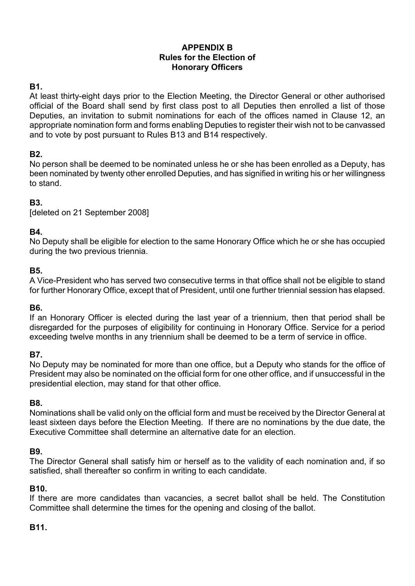## **APPENDIX B Rules for the Election of Honorary Officers**

## **B1.**

At least thirty-eight days prior to the Election Meeting, the Director General or other authorised official of the Board shall send by first class post to all Deputies then enrolled a list of those Deputies, an invitation to submit nominations for each of the offices named in Clause 12, an appropriate nomination form and forms enabling Deputies to register their wish not to be canvassed and to vote by post pursuant to Rules B13 and B14 respectively.

# **B2.**

No person shall be deemed to be nominated unless he or she has been enrolled as a Deputy, has been nominated by twenty other enrolled Deputies, and has signified in writing his or her willingness to stand.

# **B3.**

[deleted on 21 September 2008]

## **B4.**

No Deputy shall be eligible for election to the same Honorary Office which he or she has occupied during the two previous triennia.

#### **B5.**

A Vice-President who has served two consecutive terms in that office shall not be eligible to stand for further Honorary Office, except that of President, until one further triennial session has elapsed.

#### **B6.**

If an Honorary Officer is elected during the last year of a triennium, then that period shall be disregarded for the purposes of eligibility for continuing in Honorary Office. Service for a period exceeding twelve months in any triennium shall be deemed to be a term of service in office.

#### **B7.**

No Deputy may be nominated for more than one office, but a Deputy who stands for the office of President may also be nominated on the official form for one other office, and if unsuccessful in the presidential election, may stand for that other office.

#### **B8.**

Nominations shall be valid only on the official form and must be received by the Director General at least sixteen days before the Election Meeting. If there are no nominations by the due date, the Executive Committee shall determine an alternative date for an election.

#### **B9.**

The Director General shall satisfy him or herself as to the validity of each nomination and, if so satisfied, shall thereafter so confirm in writing to each candidate.

#### **B10.**

If there are more candidates than vacancies, a secret ballot shall be held. The Constitution Committee shall determine the times for the opening and closing of the ballot.

## **B11.**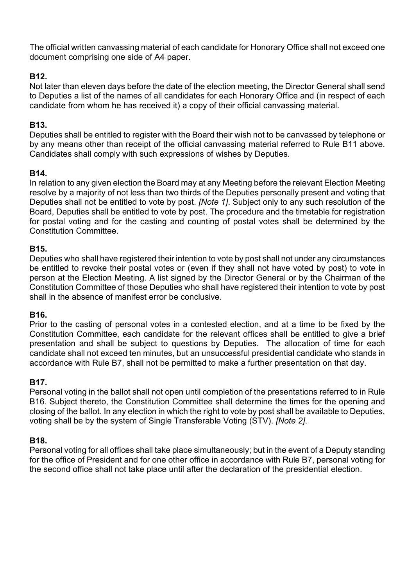The official written canvassing material of each candidate for Honorary Office shall not exceed one document comprising one side of A4 paper.

## **B12.**

Not later than eleven days before the date of the election meeting, the Director General shall send to Deputies a list of the names of all candidates for each Honorary Office and (in respect of each candidate from whom he has received it) a copy of their official canvassing material.

## **B13.**

Deputies shall be entitled to register with the Board their wish not to be canvassed by telephone or by any means other than receipt of the official canvassing material referred to Rule B11 above. Candidates shall comply with such expressions of wishes by Deputies.

## **B14.**

In relation to any given election the Board may at any Meeting before the relevant Election Meeting resolve by a majority of not less than two thirds of the Deputies personally present and voting that Deputies shall not be entitled to vote by post. *[Note 1]*. Subject only to any such resolution of the Board, Deputies shall be entitled to vote by post. The procedure and the timetable for registration for postal voting and for the casting and counting of postal votes shall be determined by the Constitution Committee.

## **B15.**

Deputies who shall have registered their intention to vote by post shall not under any circumstances be entitled to revoke their postal votes or (even if they shall not have voted by post) to vote in person at the Election Meeting. A list signed by the Director General or by the Chairman of the Constitution Committee of those Deputies who shall have registered their intention to vote by post shall in the absence of manifest error be conclusive.

## **B16.**

Prior to the casting of personal votes in a contested election, and at a time to be fixed by the Constitution Committee, each candidate for the relevant offices shall be entitled to give a brief presentation and shall be subject to questions by Deputies. The allocation of time for each candidate shall not exceed ten minutes, but an unsuccessful presidential candidate who stands in accordance with Rule B7, shall not be permitted to make a further presentation on that day.

## **B17.**

Personal voting in the ballot shall not open until completion of the presentations referred to in Rule B16. Subject thereto, the Constitution Committee shall determine the times for the opening and closing of the ballot. In any election in which the right to vote by post shall be available to Deputies, voting shall be by the system of Single Transferable Voting (STV). *[Note 2]*.

## **B18.**

Personal voting for all offices shall take place simultaneously; but in the event of a Deputy standing for the office of President and for one other office in accordance with Rule B7, personal voting for the second office shall not take place until after the declaration of the presidential election.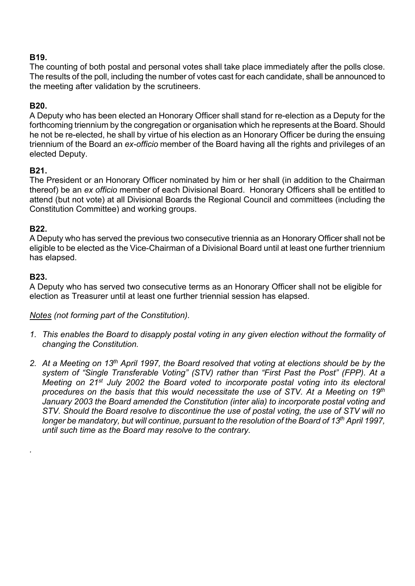## **B19.**

The counting of both postal and personal votes shall take place immediately after the polls close. The results of the poll, including the number of votes cast for each candidate, shall be announced to the meeting after validation by the scrutineers.

## **B20.**

A Deputy who has been elected an Honorary Officer shall stand for re-election as a Deputy for the forthcoming triennium by the congregation or organisation which he represents at the Board. Should he not be re-elected, he shall by virtue of his election as an Honorary Officer be during the ensuing triennium of the Board an *ex-officio* member of the Board having all the rights and privileges of an elected Deputy.

# **B21.**

The President or an Honorary Officer nominated by him or her shall (in addition to the Chairman thereof) be an *ex officio* member of each Divisional Board. Honorary Officers shall be entitled to attend (but not vote) at all Divisional Boards the Regional Council and committees (including the Constitution Committee) and working groups.

## **B22.**

A Deputy who has served the previous two consecutive triennia as an Honorary Officer shall not be eligible to be elected as the Vice-Chairman of a Divisional Board until at least one further triennium has elapsed.

## **B23.**

*.*

A Deputy who has served two consecutive terms as an Honorary Officer shall not be eligible for election as Treasurer until at least one further triennial session has elapsed.

## *Notes (not forming part of the Constitution).*

- *1. This enables the Board to disapply postal voting in any given election without the formality of changing the Constitution.*
- *2. At a Meeting on 13th April 1997, the Board resolved that voting at elections should be by the system of "Single Transferable Voting" (STV) rather than "First Past the Post" (FPP). At a Meeting on 21st July 2002 the Board voted to incorporate postal voting into its electoral procedures on the basis that this would necessitate the use of STV. At a Meeting on 19th January 2003 the Board amended the Constitution (inter alia) to incorporate postal voting and STV. Should the Board resolve to discontinue the use of postal voting, the use of STV will no longer be mandatory, but will continue, pursuant to the resolution of the Board of 13th April 1997, until such time as the Board may resolve to the contrary.*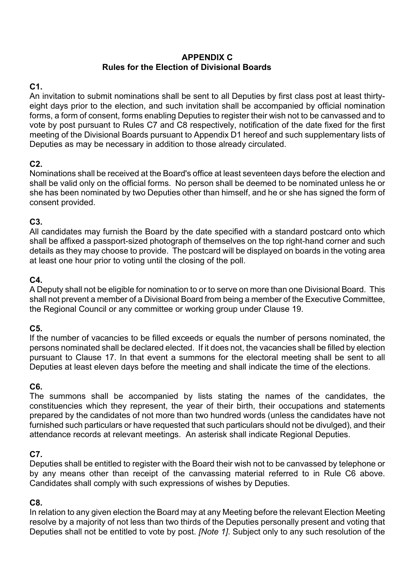#### **APPENDIX C Rules for the Election of Divisional Boards**

# **C1.**

An invitation to submit nominations shall be sent to all Deputies by first class post at least thirtyeight days prior to the election, and such invitation shall be accompanied by official nomination forms, a form of consent, forms enabling Deputies to register their wish not to be canvassed and to vote by post pursuant to Rules C7 and C8 respectively, notification of the date fixed for the first meeting of the Divisional Boards pursuant to Appendix D1 hereof and such supplementary lists of Deputies as may be necessary in addition to those already circulated.

# **C2.**

Nominations shall be received at the Board's office at least seventeen days before the election and shall be valid only on the official forms. No person shall be deemed to be nominated unless he or she has been nominated by two Deputies other than himself, and he or she has signed the form of consent provided.

## **C3.**

All candidates may furnish the Board by the date specified with a standard postcard onto which shall be affixed a passport-sized photograph of themselves on the top right-hand corner and such details as they may choose to provide. The postcard will be displayed on boards in the voting area at least one hour prior to voting until the closing of the poll.

# **C4.**

A Deputy shall not be eligible for nomination to or to serve on more than one Divisional Board. This shall not prevent a member of a Divisional Board from being a member of the Executive Committee, the Regional Council or any committee or working group under Clause 19.

## **C5.**

If the number of vacancies to be filled exceeds or equals the number of persons nominated, the persons nominated shall be declared elected. If it does not, the vacancies shall be filled by election pursuant to Clause 17. In that event a summons for the electoral meeting shall be sent to all Deputies at least eleven days before the meeting and shall indicate the time of the elections.

# **C6.**

The summons shall be accompanied by lists stating the names of the candidates, the constituencies which they represent, the year of their birth, their occupations and statements prepared by the candidates of not more than two hundred words (unless the candidates have not furnished such particulars or have requested that such particulars should not be divulged), and their attendance records at relevant meetings. An asterisk shall indicate Regional Deputies.

## **C7.**

Deputies shall be entitled to register with the Board their wish not to be canvassed by telephone or by any means other than receipt of the canvassing material referred to in Rule C6 above. Candidates shall comply with such expressions of wishes by Deputies.

## **C8.**

In relation to any given election the Board may at any Meeting before the relevant Election Meeting resolve by a majority of not less than two thirds of the Deputies personally present and voting that Deputies shall not be entitled to vote by post. *[Note 1]*. Subject only to any such resolution of the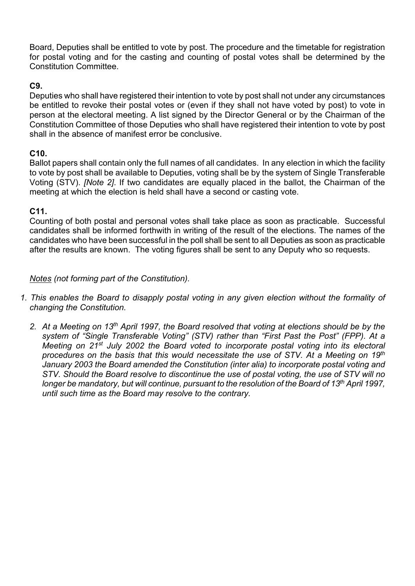Board, Deputies shall be entitled to vote by post. The procedure and the timetable for registration for postal voting and for the casting and counting of postal votes shall be determined by the Constitution Committee.

#### **C9.**

Deputies who shall have registered their intention to vote by post shall not under any circumstances be entitled to revoke their postal votes or (even if they shall not have voted by post) to vote in person at the electoral meeting. A list signed by the Director General or by the Chairman of the Constitution Committee of those Deputies who shall have registered their intention to vote by post shall in the absence of manifest error be conclusive.

#### **C10.**

Ballot papers shall contain only the full names of all candidates. In any election in which the facility to vote by post shall be available to Deputies, voting shall be by the system of Single Transferable Voting (STV). *[Note 2]*. If two candidates are equally placed in the ballot, the Chairman of the meeting at which the election is held shall have a second or casting vote.

#### **C11.**

Counting of both postal and personal votes shall take place as soon as practicable. Successful candidates shall be informed forthwith in writing of the result of the elections. The names of the candidates who have been successful in the poll shall be sent to all Deputies as soon as practicable after the results are known. The voting figures shall be sent to any Deputy who so requests.

*Notes (not forming part of the Constitution).* 

- *1. This enables the Board to disapply postal voting in any given election without the formality of changing the Constitution.* 
	- *2. At a Meeting on 13th April 1997, the Board resolved that voting at elections should be by the system of "Single Transferable Voting" (STV) rather than "First Past the Post" (FPP). At a Meeting on 21st July 2002 the Board voted to incorporate postal voting into its electoral procedures on the basis that this would necessitate the use of STV. At a Meeting on 19th January 2003 the Board amended the Constitution (inter alia) to incorporate postal voting and STV. Should the Board resolve to discontinue the use of postal voting, the use of STV will no longer be mandatory, but will continue, pursuant to the resolution of the Board of 13th April 1997, until such time as the Board may resolve to the contrary.*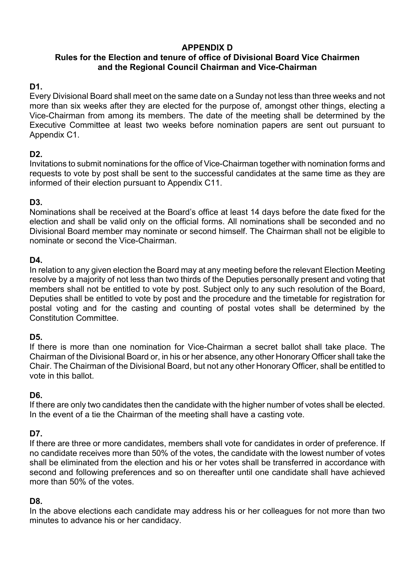# **APPENDIX D**

## **Rules for the Election and tenure of office of Divisional Board Vice Chairmen and the Regional Council Chairman and Vice-Chairman**

# **D1.**

Every Divisional Board shall meet on the same date on a Sunday not less than three weeks and not more than six weeks after they are elected for the purpose of, amongst other things, electing a Vice-Chairman from among its members. The date of the meeting shall be determined by the Executive Committee at least two weeks before nomination papers are sent out pursuant to Appendix C1.

# **D2.**

Invitations to submit nominations for the office of Vice-Chairman together with nomination forms and requests to vote by post shall be sent to the successful candidates at the same time as they are informed of their election pursuant to Appendix C11.

# **D3.**

Nominations shall be received at the Board's office at least 14 days before the date fixed for the election and shall be valid only on the official forms. All nominations shall be seconded and no Divisional Board member may nominate or second himself. The Chairman shall not be eligible to nominate or second the Vice-Chairman.

## **D4.**

In relation to any given election the Board may at any meeting before the relevant Election Meeting resolve by a majority of not less than two thirds of the Deputies personally present and voting that members shall not be entitled to vote by post. Subject only to any such resolution of the Board, Deputies shall be entitled to vote by post and the procedure and the timetable for registration for postal voting and for the casting and counting of postal votes shall be determined by the Constitution Committee.

# **D5.**

If there is more than one nomination for Vice-Chairman a secret ballot shall take place. The Chairman of the Divisional Board or, in his or her absence, any other Honorary Officer shall take the Chair. The Chairman of the Divisional Board, but not any other Honorary Officer, shall be entitled to vote in this ballot.

## **D6.**

If there are only two candidates then the candidate with the higher number of votes shall be elected. In the event of a tie the Chairman of the meeting shall have a casting vote.

## **D7.**

If there are three or more candidates, members shall vote for candidates in order of preference. If no candidate receives more than 50% of the votes, the candidate with the lowest number of votes shall be eliminated from the election and his or her votes shall be transferred in accordance with second and following preferences and so on thereafter until one candidate shall have achieved more than 50% of the votes.

## **D8.**

In the above elections each candidate may address his or her colleagues for not more than two minutes to advance his or her candidacy.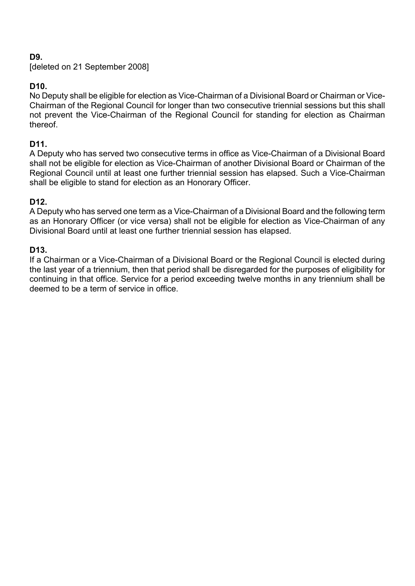# **D9.**

[deleted on 21 September 2008]

# **D10.**

No Deputy shall be eligible for election as Vice-Chairman of a Divisional Board or Chairman or Vice-Chairman of the Regional Council for longer than two consecutive triennial sessions but this shall not prevent the Vice-Chairman of the Regional Council for standing for election as Chairman thereof.

## **D11.**

A Deputy who has served two consecutive terms in office as Vice-Chairman of a Divisional Board shall not be eligible for election as Vice-Chairman of another Divisional Board or Chairman of the Regional Council until at least one further triennial session has elapsed. Such a Vice-Chairman shall be eligible to stand for election as an Honorary Officer.

## **D12.**

A Deputy who has served one term as a Vice-Chairman of a Divisional Board and the following term as an Honorary Officer (or vice versa) shall not be eligible for election as Vice-Chairman of any Divisional Board until at least one further triennial session has elapsed.

#### **D13.**

If a Chairman or a Vice-Chairman of a Divisional Board or the Regional Council is elected during the last year of a triennium, then that period shall be disregarded for the purposes of eligibility for continuing in that office. Service for a period exceeding twelve months in any triennium shall be deemed to be a term of service in office.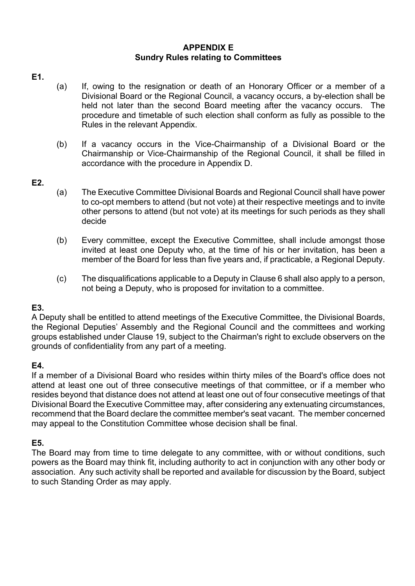#### **APPENDIX E Sundry Rules relating to Committees**

#### **E1.**

- (a) If, owing to the resignation or death of an Honorary Officer or a member of a Divisional Board or the Regional Council, a vacancy occurs, a by-election shall be held not later than the second Board meeting after the vacancy occurs. The procedure and timetable of such election shall conform as fully as possible to the Rules in the relevant Appendix.
- (b) If a vacancy occurs in the Vice-Chairmanship of a Divisional Board or the Chairmanship or Vice-Chairmanship of the Regional Council, it shall be filled in accordance with the procedure in Appendix D.

## **E2.**

- (a) The Executive Committee Divisional Boards and Regional Council shall have power to co-opt members to attend (but not vote) at their respective meetings and to invite other persons to attend (but not vote) at its meetings for such periods as they shall decide
- (b) Every committee, except the Executive Committee, shall include amongst those invited at least one Deputy who, at the time of his or her invitation, has been a member of the Board for less than five years and, if practicable, a Regional Deputy.
- (c) The disqualifications applicable to a Deputy in Clause 6 shall also apply to a person, not being a Deputy, who is proposed for invitation to a committee.

## **E3.**

A Deputy shall be entitled to attend meetings of the Executive Committee, the Divisional Boards, the Regional Deputies' Assembly and the Regional Council and the committees and working groups established under Clause 19, subject to the Chairman's right to exclude observers on the grounds of confidentiality from any part of a meeting.

## **E4.**

If a member of a Divisional Board who resides within thirty miles of the Board's office does not attend at least one out of three consecutive meetings of that committee, or if a member who resides beyond that distance does not attend at least one out of four consecutive meetings of that Divisional Board the Executive Committee may, after considering any extenuating circumstances, recommend that the Board declare the committee member's seat vacant. The member concerned may appeal to the Constitution Committee whose decision shall be final.

## **E5.**

The Board may from time to time delegate to any committee, with or without conditions, such powers as the Board may think fit, including authority to act in conjunction with any other body or association. Any such activity shall be reported and available for discussion by the Board, subject to such Standing Order as may apply.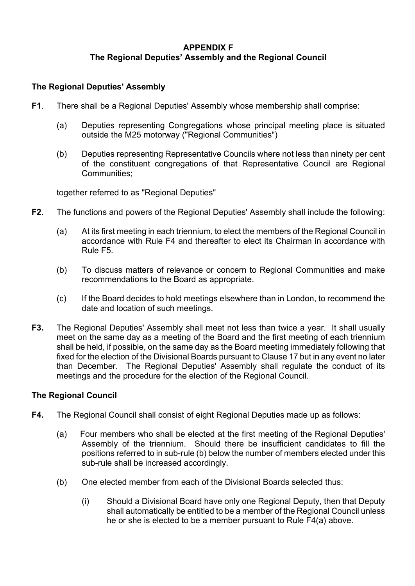## **APPENDIX F The Regional Deputies' Assembly and the Regional Council**

#### **The Regional Deputies' Assembly**

- **F1**. There shall be a Regional Deputies' Assembly whose membership shall comprise:
	- (a) Deputies representing Congregations whose principal meeting place is situated outside the M25 motorway ("Regional Communities")
	- (b) Deputies representing Representative Councils where not less than ninety per cent of the constituent congregations of that Representative Council are Regional Communities;

together referred to as "Regional Deputies"

- **F2.** The functions and powers of the Regional Deputies' Assembly shall include the following:
	- (a) At its first meeting in each triennium, to elect the members of the Regional Council in accordance with Rule F4 and thereafter to elect its Chairman in accordance with Rule F5.
	- (b) To discuss matters of relevance or concern to Regional Communities and make recommendations to the Board as appropriate.
	- (c) If the Board decides to hold meetings elsewhere than in London, to recommend the date and location of such meetings.
- **F3.** The Regional Deputies' Assembly shall meet not less than twice a year. It shall usually meet on the same day as a meeting of the Board and the first meeting of each triennium shall be held, if possible, on the same day as the Board meeting immediately following that fixed for the election of the Divisional Boards pursuant to Clause 17 but in any event no later than December. The Regional Deputies' Assembly shall regulate the conduct of its meetings and the procedure for the election of the Regional Council.

#### **The Regional Council**

- **F4.** The Regional Council shall consist of eight Regional Deputies made up as follows:
	- (a) Four members who shall be elected at the first meeting of the Regional Deputies' Assembly of the triennium. Should there be insufficient candidates to fill the positions referred to in sub-rule (b) below the number of members elected under this sub-rule shall be increased accordingly.
	- (b) One elected member from each of the Divisional Boards selected thus:
		- (i) Should a Divisional Board have only one Regional Deputy, then that Deputy shall automatically be entitled to be a member of the Regional Council unless he or she is elected to be a member pursuant to Rule F4(a) above.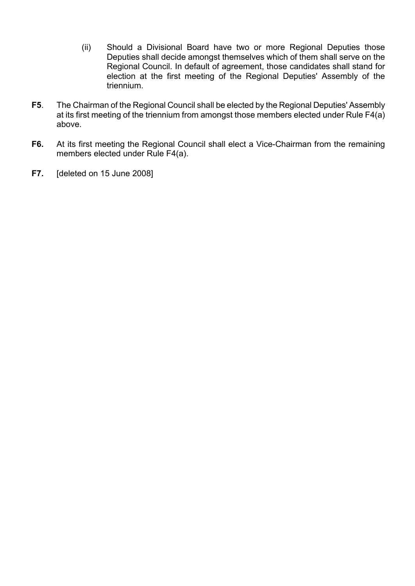- (ii) Should a Divisional Board have two or more Regional Deputies those Deputies shall decide amongst themselves which of them shall serve on the Regional Council. In default of agreement, those candidates shall stand for election at the first meeting of the Regional Deputies' Assembly of the triennium.
- **F5**. The Chairman of the Regional Council shall be elected by the Regional Deputies' Assembly at its first meeting of the triennium from amongst those members elected under Rule F4(a) above.
- **F6.** At its first meeting the Regional Council shall elect a Vice-Chairman from the remaining members elected under Rule F4(a).
- **F7.** [deleted on 15 June 2008]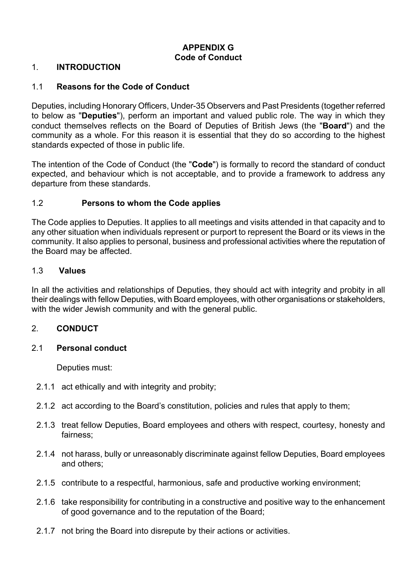# **APPENDIX G Code of Conduct**

#### 1. **INTRODUCTION**

#### 1.1 **Reasons for the Code of Conduct**

Deputies, including Honorary Officers, Under-35 Observers and Past Presidents (together referred to below as "**Deputies**"), perform an important and valued public role. The way in which they conduct themselves reflects on the Board of Deputies of British Jews (the "**Board**") and the community as a whole. For this reason it is essential that they do so according to the highest standards expected of those in public life.

The intention of the Code of Conduct (the "**Code**") is formally to record the standard of conduct expected, and behaviour which is not acceptable, and to provide a framework to address any departure from these standards.

#### 1.2 **Persons to whom the Code applies**

The Code applies to Deputies. It applies to all meetings and visits attended in that capacity and to any other situation when individuals represent or purport to represent the Board or its views in the community. It also applies to personal, business and professional activities where the reputation of the Board may be affected.

#### 1.3 **Values**

In all the activities and relationships of Deputies, they should act with integrity and probity in all their dealings with fellow Deputies, with Board employees, with other organisations or stakeholders, with the wider Jewish community and with the general public.

#### 2. **CONDUCT**

#### 2.1 **Personal conduct**

Deputies must:

- 2.1.1 act ethically and with integrity and probity;
- 2.1.2 act according to the Board's constitution, policies and rules that apply to them;
- 2.1.3 treat fellow Deputies, Board employees and others with respect, courtesy, honesty and fairness;
- 2.1.4 not harass, bully or unreasonably discriminate against fellow Deputies, Board employees and others;
- 2.1.5 contribute to a respectful, harmonious, safe and productive working environment;
- 2.1.6 take responsibility for contributing in a constructive and positive way to the enhancement of good governance and to the reputation of the Board;
- 2.1.7 not bring the Board into disrepute by their actions or activities.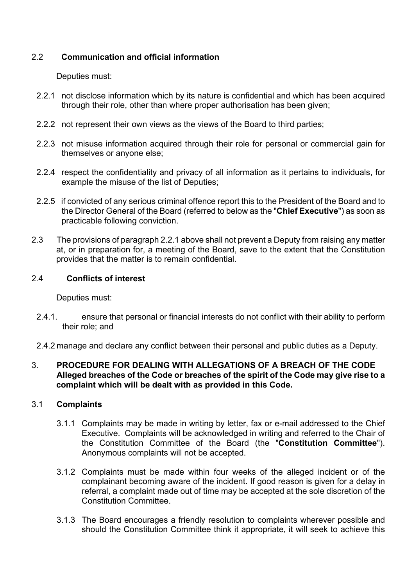## 2.2 **Communication and official information**

Deputies must:

- 2.2.1 not disclose information which by its nature is confidential and which has been acquired through their role, other than where proper authorisation has been given;
- 2.2.2 not represent their own views as the views of the Board to third parties;
- 2.2.3 not misuse information acquired through their role for personal or commercial gain for themselves or anyone else;
- 2.2.4 respect the confidentiality and privacy of all information as it pertains to individuals, for example the misuse of the list of Deputies;
- 2.2.5 if convicted of any serious criminal offence report this to the President of the Board and to the Director General of the Board (referred to below as the "**Chief Executive**") as soon as practicable following conviction.
- 2.3 The provisions of paragraph 2.2.1 above shall not prevent a Deputy from raising any matter at, or in preparation for, a meeting of the Board, save to the extent that the Constitution provides that the matter is to remain confidential.

## 2.4 **Conflicts of interest**

Deputies must:

- 2.4.1. ensure that personal or financial interests do not conflict with their ability to perform their role; and
- 2.4.2 manage and declare any conflict between their personal and public duties as a Deputy.

#### 3. **PROCEDURE FOR DEALING WITH ALLEGATIONS OF A BREACH OF THE CODE Alleged breaches of the Code or breaches of the spirit of the Code may give rise to a complaint which will be dealt with as provided in this Code.**

## 3.1 **Complaints**

- 3.1.1 Complaints may be made in writing by letter, fax or e-mail addressed to the Chief Executive. Complaints will be acknowledged in writing and referred to the Chair of the Constitution Committee of the Board (the "**Constitution Committee**"). Anonymous complaints will not be accepted.
- 3.1.2 Complaints must be made within four weeks of the alleged incident or of the complainant becoming aware of the incident. If good reason is given for a delay in referral, a complaint made out of time may be accepted at the sole discretion of the Constitution Committee.
- 3.1.3 The Board encourages a friendly resolution to complaints wherever possible and should the Constitution Committee think it appropriate, it will seek to achieve this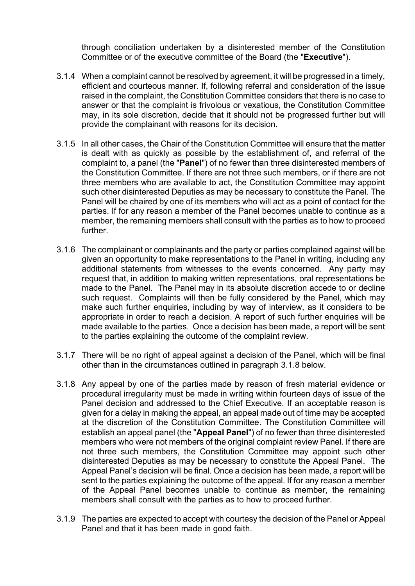through conciliation undertaken by a disinterested member of the Constitution Committee or of the executive committee of the Board (the "**Executive**").

- 3.1.4 When a complaint cannot be resolved by agreement, it will be progressed in a timely, efficient and courteous manner. If, following referral and consideration of the issue raised in the complaint, the Constitution Committee considers that there is no case to answer or that the complaint is frivolous or vexatious, the Constitution Committee may, in its sole discretion, decide that it should not be progressed further but will provide the complainant with reasons for its decision.
- 3.1.5 In all other cases, the Chair of the Constitution Committee will ensure that the matter is dealt with as quickly as possible by the establishment of, and referral of the complaint to, a panel (the "**Panel**") of no fewer than three disinterested members of the Constitution Committee. If there are not three such members, or if there are not three members who are available to act, the Constitution Committee may appoint such other disinterested Deputies as may be necessary to constitute the Panel. The Panel will be chaired by one of its members who will act as a point of contact for the parties. If for any reason a member of the Panel becomes unable to continue as a member, the remaining members shall consult with the parties as to how to proceed further.
- 3.1.6 The complainant or complainants and the party or parties complained against will be given an opportunity to make representations to the Panel in writing, including any additional statements from witnesses to the events concerned. Any party may request that, in addition to making written representations, oral representations be made to the Panel. The Panel may in its absolute discretion accede to or decline such request. Complaints will then be fully considered by the Panel, which may make such further enquiries, including by way of interview, as it considers to be appropriate in order to reach a decision. A report of such further enquiries will be made available to the parties. Once a decision has been made, a report will be sent to the parties explaining the outcome of the complaint review.
- 3.1.7 There will be no right of appeal against a decision of the Panel, which will be final other than in the circumstances outlined in paragraph 3.1.8 below.
- 3.1.8 Any appeal by one of the parties made by reason of fresh material evidence or procedural irregularity must be made in writing within fourteen days of issue of the Panel decision and addressed to the Chief Executive. If an acceptable reason is given for a delay in making the appeal, an appeal made out of time may be accepted at the discretion of the Constitution Committee. The Constitution Committee will establish an appeal panel (the "**Appeal Panel**") of no fewer than three disinterested members who were not members of the original complaint review Panel. If there are not three such members, the Constitution Committee may appoint such other disinterested Deputies as may be necessary to constitute the Appeal Panel. The Appeal Panel's decision will be final. Once a decision has been made, a report will be sent to the parties explaining the outcome of the appeal. If for any reason a member of the Appeal Panel becomes unable to continue as member, the remaining members shall consult with the parties as to how to proceed further.
- 3.1.9 The parties are expected to accept with courtesy the decision of the Panel or Appeal Panel and that it has been made in good faith.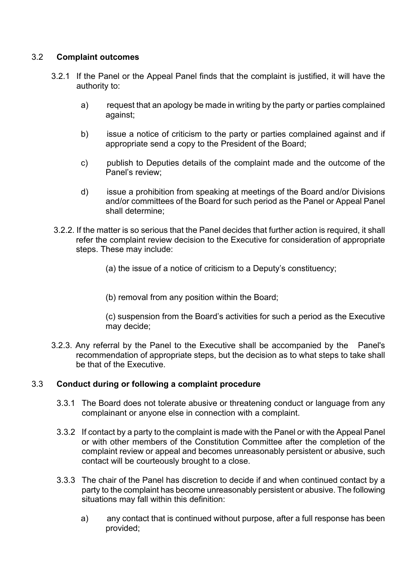## 3.2 **Complaint outcomes**

- 3.2.1 If the Panel or the Appeal Panel finds that the complaint is justified, it will have the authority to:
	- a) request that an apology be made in writing by the party or parties complained against;
	- b) issue a notice of criticism to the party or parties complained against and if appropriate send a copy to the President of the Board;
	- c) publish to Deputies details of the complaint made and the outcome of the Panel's review;
	- d) issue a prohibition from speaking at meetings of the Board and/or Divisions and/or committees of the Board for such period as the Panel or Appeal Panel shall determine;
- 3.2.2. If the matter is so serious that the Panel decides that further action is required, it shall refer the complaint review decision to the Executive for consideration of appropriate steps. These may include:
	- (a) the issue of a notice of criticism to a Deputy's constituency;
	- (b) removal from any position within the Board;

(c) suspension from the Board's activities for such a period as the Executive may decide;

3.2.3. Any referral by the Panel to the Executive shall be accompanied by the Panel's recommendation of appropriate steps, but the decision as to what steps to take shall be that of the Executive.

#### 3.3 **Conduct during or following a complaint procedure**

- 3.3.1 The Board does not tolerate abusive or threatening conduct or language from any complainant or anyone else in connection with a complaint.
- 3.3.2 If contact by a party to the complaint is made with the Panel or with the Appeal Panel or with other members of the Constitution Committee after the completion of the complaint review or appeal and becomes unreasonably persistent or abusive, such contact will be courteously brought to a close.
- 3.3.3 The chair of the Panel has discretion to decide if and when continued contact by a party to the complaint has become unreasonably persistent or abusive. The following situations may fall within this definition:
	- a) any contact that is continued without purpose, after a full response has been provided;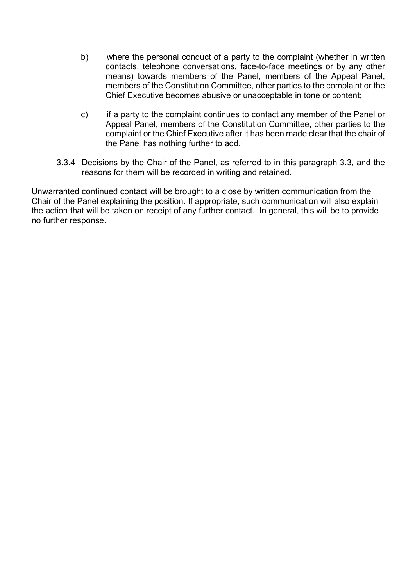- b) where the personal conduct of a party to the complaint (whether in written contacts, telephone conversations, face-to-face meetings or by any other means) towards members of the Panel, members of the Appeal Panel, members of the Constitution Committee, other parties to the complaint or the Chief Executive becomes abusive or unacceptable in tone or content;
- c) if a party to the complaint continues to contact any member of the Panel or Appeal Panel, members of the Constitution Committee, other parties to the complaint or the Chief Executive after it has been made clear that the chair of the Panel has nothing further to add.
- 3.3.4 Decisions by the Chair of the Panel, as referred to in this paragraph 3.3, and the reasons for them will be recorded in writing and retained.

Unwarranted continued contact will be brought to a close by written communication from the Chair of the Panel explaining the position. If appropriate, such communication will also explain the action that will be taken on receipt of any further contact. In general, this will be to provide no further response.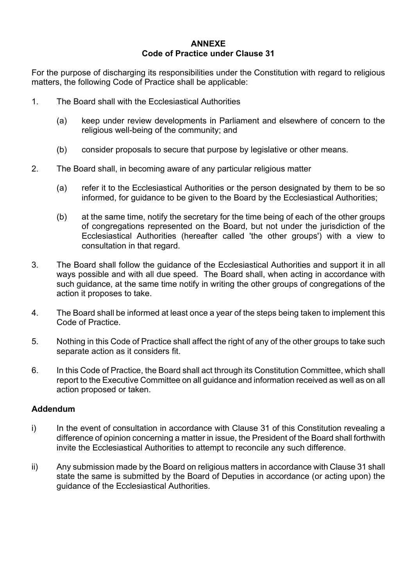#### **ANNEXE Code of Practice under Clause 31**

For the purpose of discharging its responsibilities under the Constitution with regard to religious matters, the following Code of Practice shall be applicable:

- 1. The Board shall with the Ecclesiastical Authorities
	- (a) keep under review developments in Parliament and elsewhere of concern to the religious well-being of the community; and
	- (b) consider proposals to secure that purpose by legislative or other means.
- 2. The Board shall, in becoming aware of any particular religious matter
	- (a) refer it to the Ecclesiastical Authorities or the person designated by them to be so informed, for guidance to be given to the Board by the Ecclesiastical Authorities;
	- (b) at the same time, notify the secretary for the time being of each of the other groups of congregations represented on the Board, but not under the jurisdiction of the Ecclesiastical Authorities (hereafter called 'the other groups') with a view to consultation in that regard.
- 3. The Board shall follow the guidance of the Ecclesiastical Authorities and support it in all ways possible and with all due speed. The Board shall, when acting in accordance with such guidance, at the same time notify in writing the other groups of congregations of the action it proposes to take.
- 4. The Board shall be informed at least once a year of the steps being taken to implement this Code of Practice.
- 5. Nothing in this Code of Practice shall affect the right of any of the other groups to take such separate action as it considers fit.
- 6. In this Code of Practice, the Board shall act through its Constitution Committee, which shall report to the Executive Committee on all guidance and information received as well as on all action proposed or taken.

#### **Addendum**

- i) In the event of consultation in accordance with Clause 31 of this Constitution revealing a difference of opinion concerning a matter in issue, the President of the Board shall forthwith invite the Ecclesiastical Authorities to attempt to reconcile any such difference.
- ii) Any submission made by the Board on religious matters in accordance with Clause 31 shall state the same is submitted by the Board of Deputies in accordance (or acting upon) the guidance of the Ecclesiastical Authorities.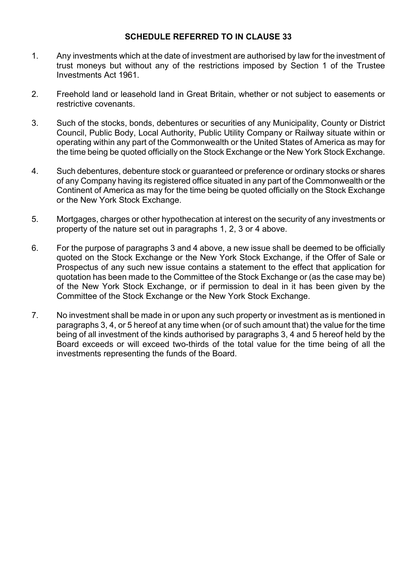#### **SCHEDULE REFERRED TO IN CLAUSE 33**

- 1. Any investments which at the date of investment are authorised by law for the investment of trust moneys but without any of the restrictions imposed by Section 1 of the Trustee Investments Act 1961.
- 2. Freehold land or leasehold land in Great Britain, whether or not subject to easements or restrictive covenants.
- 3. Such of the stocks, bonds, debentures or securities of any Municipality, County or District Council, Public Body, Local Authority, Public Utility Company or Railway situate within or operating within any part of the Commonwealth or the United States of America as may for the time being be quoted officially on the Stock Exchange or the New York Stock Exchange.
- 4. Such debentures, debenture stock or guaranteed or preference or ordinary stocks or shares of any Company having its registered office situated in any part of the Commonwealth or the Continent of America as may for the time being be quoted officially on the Stock Exchange or the New York Stock Exchange.
- 5. Mortgages, charges or other hypothecation at interest on the security of any investments or property of the nature set out in paragraphs 1, 2, 3 or 4 above.
- 6. For the purpose of paragraphs 3 and 4 above, a new issue shall be deemed to be officially quoted on the Stock Exchange or the New York Stock Exchange, if the Offer of Sale or Prospectus of any such new issue contains a statement to the effect that application for quotation has been made to the Committee of the Stock Exchange or (as the case may be) of the New York Stock Exchange, or if permission to deal in it has been given by the Committee of the Stock Exchange or the New York Stock Exchange.
- 7. No investment shall be made in or upon any such property or investment as is mentioned in paragraphs 3, 4, or 5 hereof at any time when (or of such amount that) the value for the time being of all investment of the kinds authorised by paragraphs 3, 4 and 5 hereof held by the Board exceeds or will exceed two-thirds of the total value for the time being of all the investments representing the funds of the Board.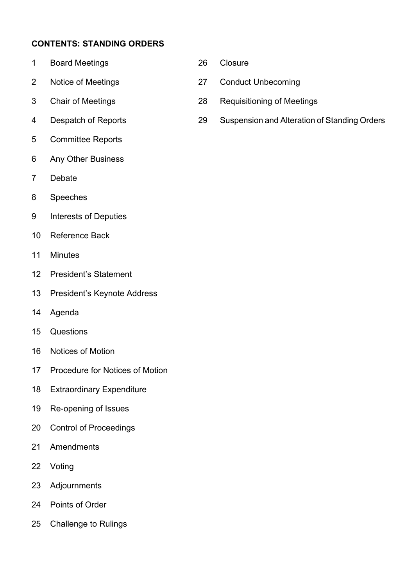# **CONTENTS: STANDING ORDERS**

- Board Meetings 26 Closure
- Notice of Meetings 27 Conduct Unbecoming
- 
- 
- Committee Reports
- Any Other Business
- Debate
- Speeches
- Interests of Deputies
- Reference Back
- Minutes
- President's Statement
- President's Keynote Address
- Agenda
- Questions
- Notices of Motion
- Procedure for Notices of Motion
- Extraordinary Expenditure
- Re-opening of Issues
- Control of Proceedings
- Amendments
- Voting
- Adjournments
- Points of Order
- Challenge to Rulings
- 
- 
- Chair of Meetings 28 Requisitioning of Meetings
- Despatch of Reports 29 Suspension and Alteration of Standing Orders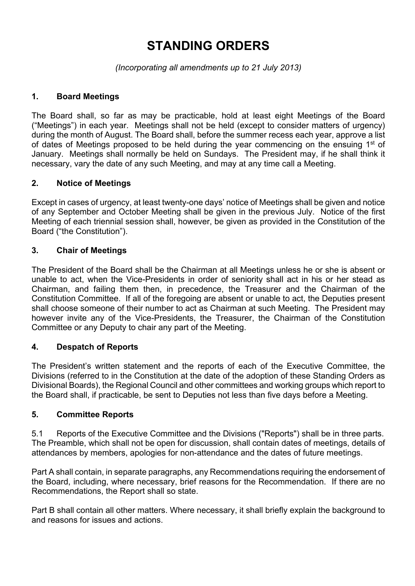# **STANDING ORDERS**

*(Incorporating all amendments up to 21 July 2013)* 

## **1. Board Meetings**

The Board shall, so far as may be practicable, hold at least eight Meetings of the Board ("Meetings") in each year. Meetings shall not be held (except to consider matters of urgency) during the month of August. The Board shall, before the summer recess each year, approve a list of dates of Meetings proposed to be held during the year commencing on the ensuing  $1<sup>st</sup>$  of January. Meetings shall normally be held on Sundays. The President may, if he shall think it necessary, vary the date of any such Meeting, and may at any time call a Meeting.

## **2. Notice of Meetings**

Except in cases of urgency, at least twenty-one days' notice of Meetings shall be given and notice of any September and October Meeting shall be given in the previous July. Notice of the first Meeting of each triennial session shall, however, be given as provided in the Constitution of the Board ("the Constitution").

# **3. Chair of Meetings**

The President of the Board shall be the Chairman at all Meetings unless he or she is absent or unable to act, when the Vice-Presidents in order of seniority shall act in his or her stead as Chairman, and failing them then, in precedence, the Treasurer and the Chairman of the Constitution Committee. If all of the foregoing are absent or unable to act, the Deputies present shall choose someone of their number to act as Chairman at such Meeting. The President may however invite any of the Vice-Presidents, the Treasurer, the Chairman of the Constitution Committee or any Deputy to chair any part of the Meeting.

## **4. Despatch of Reports**

The President's written statement and the reports of each of the Executive Committee, the Divisions (referred to in the Constitution at the date of the adoption of these Standing Orders as Divisional Boards), the Regional Council and other committees and working groups which report to the Board shall, if practicable, be sent to Deputies not less than five days before a Meeting.

## **5. Committee Reports**

5.1 Reports of the Executive Committee and the Divisions ("Reports") shall be in three parts. The Preamble, which shall not be open for discussion, shall contain dates of meetings, details of attendances by members, apologies for non-attendance and the dates of future meetings.

Part A shall contain, in separate paragraphs, any Recommendations requiring the endorsement of the Board, including, where necessary, brief reasons for the Recommendation. If there are no Recommendations, the Report shall so state.

Part B shall contain all other matters. Where necessary, it shall briefly explain the background to and reasons for issues and actions.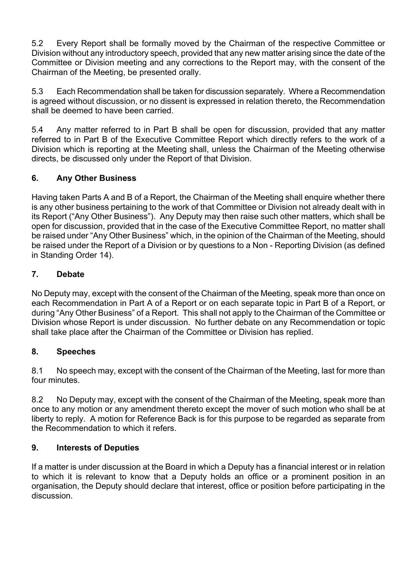5.2 Every Report shall be formally moved by the Chairman of the respective Committee or Division without any introductory speech, provided that any new matter arising since the date of the Committee or Division meeting and any corrections to the Report may, with the consent of the Chairman of the Meeting, be presented orally.

5.3 Each Recommendation shall be taken for discussion separately. Where a Recommendation is agreed without discussion, or no dissent is expressed in relation thereto, the Recommendation shall be deemed to have been carried.

5.4 Any matter referred to in Part B shall be open for discussion, provided that any matter referred to in Part B of the Executive Committee Report which directly refers to the work of a Division which is reporting at the Meeting shall, unless the Chairman of the Meeting otherwise directs, be discussed only under the Report of that Division.

# **6. Any Other Business**

Having taken Parts A and B of a Report, the Chairman of the Meeting shall enquire whether there is any other business pertaining to the work of that Committee or Division not already dealt with in its Report ("Any Other Business"). Any Deputy may then raise such other matters, which shall be open for discussion, provided that in the case of the Executive Committee Report, no matter shall be raised under "Any Other Business" which, in the opinion of the Chairman of the Meeting, should be raised under the Report of a Division or by questions to a Non - Reporting Division (as defined in Standing Order 14).

## **7. Debate**

No Deputy may, except with the consent of the Chairman of the Meeting, speak more than once on each Recommendation in Part A of a Report or on each separate topic in Part B of a Report, or during "Any Other Business" of a Report. This shall not apply to the Chairman of the Committee or Division whose Report is under discussion. No further debate on any Recommendation or topic shall take place after the Chairman of the Committee or Division has replied.

## **8. Speeches**

8.1 No speech may, except with the consent of the Chairman of the Meeting, last for more than four minutes.

8.2 No Deputy may, except with the consent of the Chairman of the Meeting, speak more than once to any motion or any amendment thereto except the mover of such motion who shall be at liberty to reply. A motion for Reference Back is for this purpose to be regarded as separate from the Recommendation to which it refers.

## **9. Interests of Deputies**

If a matter is under discussion at the Board in which a Deputy has a financial interest or in relation to which it is relevant to know that a Deputy holds an office or a prominent position in an organisation, the Deputy should declare that interest, office or position before participating in the discussion.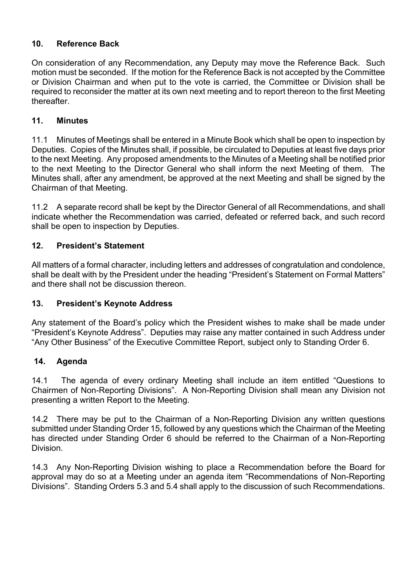# **10. Reference Back**

On consideration of any Recommendation, any Deputy may move the Reference Back. Such motion must be seconded. If the motion for the Reference Back is not accepted by the Committee or Division Chairman and when put to the vote is carried, the Committee or Division shall be required to reconsider the matter at its own next meeting and to report thereon to the first Meeting thereafter.

#### **11. Minutes**

11.1 Minutes of Meetings shall be entered in a Minute Book which shall be open to inspection by Deputies. Copies of the Minutes shall, if possible, be circulated to Deputies at least five days prior to the next Meeting. Any proposed amendments to the Minutes of a Meeting shall be notified prior to the next Meeting to the Director General who shall inform the next Meeting of them. The Minutes shall, after any amendment, be approved at the next Meeting and shall be signed by the Chairman of that Meeting.

11.2 A separate record shall be kept by the Director General of all Recommendations, and shall indicate whether the Recommendation was carried, defeated or referred back, and such record shall be open to inspection by Deputies.

## **12. President's Statement**

All matters of a formal character, including letters and addresses of congratulation and condolence, shall be dealt with by the President under the heading "President's Statement on Formal Matters" and there shall not be discussion thereon.

#### **13. President's Keynote Address**

Any statement of the Board's policy which the President wishes to make shall be made under "President's Keynote Address". Deputies may raise any matter contained in such Address under "Any Other Business" of the Executive Committee Report, subject only to Standing Order 6.

#### **14. Agenda**

14.1 The agenda of every ordinary Meeting shall include an item entitled "Questions to Chairmen of Non-Reporting Divisions". A Non-Reporting Division shall mean any Division not presenting a written Report to the Meeting.

14.2 There may be put to the Chairman of a Non-Reporting Division any written questions submitted under Standing Order 15, followed by any questions which the Chairman of the Meeting has directed under Standing Order 6 should be referred to the Chairman of a Non-Reporting Division.

14.3 Any Non-Reporting Division wishing to place a Recommendation before the Board for approval may do so at a Meeting under an agenda item "Recommendations of Non-Reporting Divisions". Standing Orders 5.3 and 5.4 shall apply to the discussion of such Recommendations.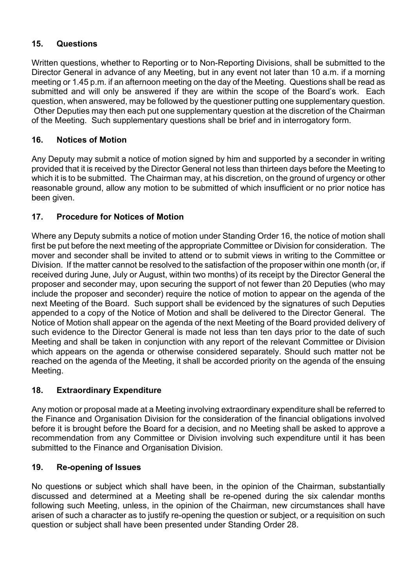# **15. Questions**

Written questions, whether to Reporting or to Non-Reporting Divisions, shall be submitted to the Director General in advance of any Meeting, but in any event not later than 10 a.m. if a morning meeting or 1.45 p.m. if an afternoon meeting on the day of the Meeting. Questions shall be read as submitted and will only be answered if they are within the scope of the Board's work. Each question, when answered, may be followed by the questioner putting one supplementary question. Other Deputies may then each put one supplementary question at the discretion of the Chairman of the Meeting. Such supplementary questions shall be brief and in interrogatory form.

# **16. Notices of Motion**

Any Deputy may submit a notice of motion signed by him and supported by a seconder in writing provided that it is received by the Director General not less than thirteen days before the Meeting to which it is to be submitted. The Chairman may, at his discretion, on the ground of urgency or other reasonable ground, allow any motion to be submitted of which insufficient or no prior notice has been given.

# **17. Procedure for Notices of Motion**

Where any Deputy submits a notice of motion under Standing Order 16, the notice of motion shall first be put before the next meeting of the appropriate Committee or Division for consideration. The mover and seconder shall be invited to attend or to submit views in writing to the Committee or Division. If the matter cannot be resolved to the satisfaction of the proposer within one month (or, if received during June, July or August, within two months) of its receipt by the Director General the proposer and seconder may, upon securing the support of not fewer than 20 Deputies (who may include the proposer and seconder) require the notice of motion to appear on the agenda of the next Meeting of the Board. Such support shall be evidenced by the signatures of such Deputies appended to a copy of the Notice of Motion and shall be delivered to the Director General. The Notice of Motion shall appear on the agenda of the next Meeting of the Board provided delivery of such evidence to the Director General is made not less than ten days prior to the date of such Meeting and shall be taken in conjunction with any report of the relevant Committee or Division which appears on the agenda or otherwise considered separately. Should such matter not be reached on the agenda of the Meeting, it shall be accorded priority on the agenda of the ensuing Meeting.

## **18. Extraordinary Expenditure**

Any motion or proposal made at a Meeting involving extraordinary expenditure shall be referred to the Finance and Organisation Division for the consideration of the financial obligations involved before it is brought before the Board for a decision, and no Meeting shall be asked to approve a recommendation from any Committee or Division involving such expenditure until it has been submitted to the Finance and Organisation Division.

## **19. Re-opening of Issues**

No questions or subject which shall have been, in the opinion of the Chairman, substantially discussed and determined at a Meeting shall be re-opened during the six calendar months following such Meeting, unless, in the opinion of the Chairman, new circumstances shall have arisen of such a character as to justify re-opening the question or subject, or a requisition on such question or subject shall have been presented under Standing Order 28.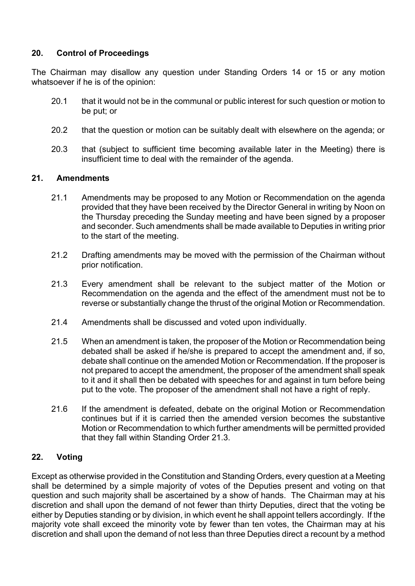## **20. Control of Proceedings**

The Chairman may disallow any question under Standing Orders 14 or 15 or any motion whatsoever if he is of the opinion:

- 20.1 that it would not be in the communal or public interest for such question or motion to be put; or
- 20.2 that the question or motion can be suitably dealt with elsewhere on the agenda; or
- 20.3 that (subject to sufficient time becoming available later in the Meeting) there is insufficient time to deal with the remainder of the agenda.

#### **21. Amendments**

- 21.1 Amendments may be proposed to any Motion or Recommendation on the agenda provided that they have been received by the Director General in writing by Noon on the Thursday preceding the Sunday meeting and have been signed by a proposer and seconder. Such amendments shall be made available to Deputies in writing prior to the start of the meeting.
- 21.2 Drafting amendments may be moved with the permission of the Chairman without prior notification.
- 21.3 Every amendment shall be relevant to the subject matter of the Motion or Recommendation on the agenda and the effect of the amendment must not be to reverse or substantially change the thrust of the original Motion or Recommendation.
- 21.4 Amendments shall be discussed and voted upon individually.
- 21.5 When an amendment is taken, the proposer of the Motion or Recommendation being debated shall be asked if he/she is prepared to accept the amendment and, if so, debate shall continue on the amended Motion or Recommendation. If the proposer is not prepared to accept the amendment, the proposer of the amendment shall speak to it and it shall then be debated with speeches for and against in turn before being put to the vote. The proposer of the amendment shall not have a right of reply.
- 21.6 If the amendment is defeated, debate on the original Motion or Recommendation continues but if it is carried then the amended version becomes the substantive Motion or Recommendation to which further amendments will be permitted provided that they fall within Standing Order 21.3.

#### **22. Voting**

Except as otherwise provided in the Constitution and Standing Orders, every question at a Meeting shall be determined by a simple majority of votes of the Deputies present and voting on that question and such majority shall be ascertained by a show of hands. The Chairman may at his discretion and shall upon the demand of not fewer than thirty Deputies, direct that the voting be either by Deputies standing or by division, in which event he shall appoint tellers accordingly. If the majority vote shall exceed the minority vote by fewer than ten votes, the Chairman may at his discretion and shall upon the demand of not less than three Deputies direct a recount by a method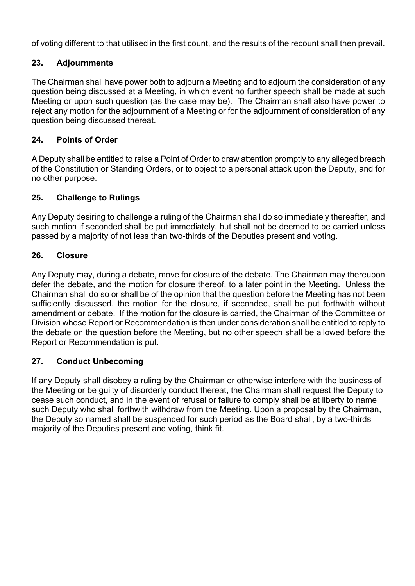of voting different to that utilised in the first count, and the results of the recount shall then prevail.

#### **23. Adjournments**

The Chairman shall have power both to adjourn a Meeting and to adjourn the consideration of any question being discussed at a Meeting, in which event no further speech shall be made at such Meeting or upon such question (as the case may be). The Chairman shall also have power to reject any motion for the adjournment of a Meeting or for the adjournment of consideration of any question being discussed thereat.

#### **24. Points of Order**

A Deputy shall be entitled to raise a Point of Order to draw attention promptly to any alleged breach of the Constitution or Standing Orders, or to object to a personal attack upon the Deputy, and for no other purpose.

#### **25. Challenge to Rulings**

Any Deputy desiring to challenge a ruling of the Chairman shall do so immediately thereafter, and such motion if seconded shall be put immediately, but shall not be deemed to be carried unless passed by a majority of not less than two-thirds of the Deputies present and voting.

#### **26. Closure**

Any Deputy may, during a debate, move for closure of the debate. The Chairman may thereupon defer the debate, and the motion for closure thereof, to a later point in the Meeting. Unless the Chairman shall do so or shall be of the opinion that the question before the Meeting has not been sufficiently discussed, the motion for the closure, if seconded, shall be put forthwith without amendment or debate. If the motion for the closure is carried, the Chairman of the Committee or Division whose Report or Recommendation is then under consideration shall be entitled to reply to the debate on the question before the Meeting, but no other speech shall be allowed before the Report or Recommendation is put.

#### **27. Conduct Unbecoming**

If any Deputy shall disobey a ruling by the Chairman or otherwise interfere with the business of the Meeting or be guilty of disorderly conduct thereat, the Chairman shall request the Deputy to cease such conduct, and in the event of refusal or failure to comply shall be at liberty to name such Deputy who shall forthwith withdraw from the Meeting. Upon a proposal by the Chairman, the Deputy so named shall be suspended for such period as the Board shall, by a two-thirds majority of the Deputies present and voting, think fit.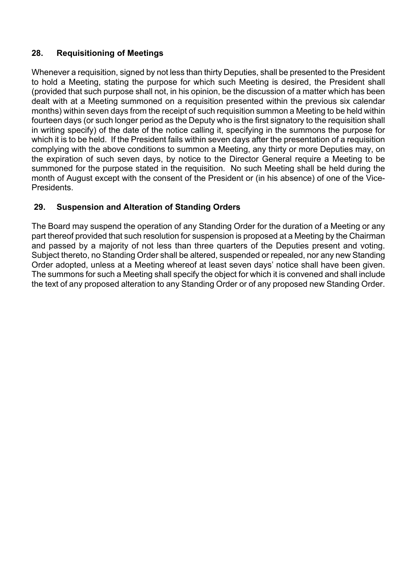# **28. Requisitioning of Meetings**

Whenever a requisition, signed by not less than thirty Deputies, shall be presented to the President to hold a Meeting, stating the purpose for which such Meeting is desired, the President shall (provided that such purpose shall not, in his opinion, be the discussion of a matter which has been dealt with at a Meeting summoned on a requisition presented within the previous six calendar months) within seven days from the receipt of such requisition summon a Meeting to be held within fourteen days (or such longer period as the Deputy who is the first signatory to the requisition shall in writing specify) of the date of the notice calling it, specifying in the summons the purpose for which it is to be held. If the President fails within seven days after the presentation of a requisition complying with the above conditions to summon a Meeting, any thirty or more Deputies may, on the expiration of such seven days, by notice to the Director General require a Meeting to be summoned for the purpose stated in the requisition. No such Meeting shall be held during the month of August except with the consent of the President or (in his absence) of one of the Vice-**Presidents** 

# **29. Suspension and Alteration of Standing Orders**

The Board may suspend the operation of any Standing Order for the duration of a Meeting or any part thereof provided that such resolution for suspension is proposed at a Meeting by the Chairman and passed by a majority of not less than three quarters of the Deputies present and voting. Subject thereto, no Standing Order shall be altered, suspended or repealed, nor any new Standing Order adopted, unless at a Meeting whereof at least seven days' notice shall have been given. The summons for such a Meeting shall specify the object for which it is convened and shall include the text of any proposed alteration to any Standing Order or of any proposed new Standing Order.